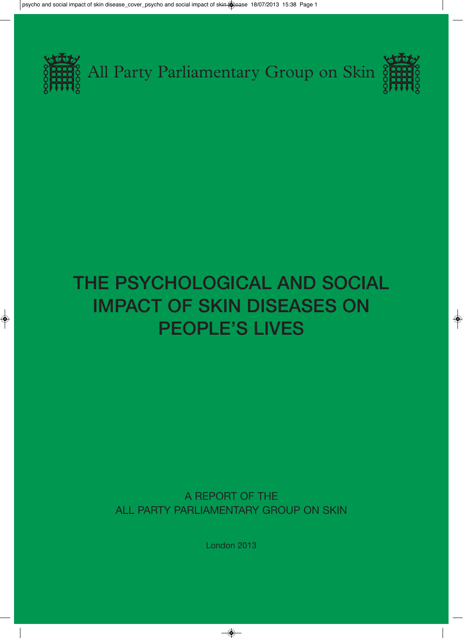

# THE PSYCHOLOGICAL AND SOCIAL IMPACT OF SKIN DISEASES ON PEOPLE'S LIVES

A REPORT OF THE ALL PARTY PARLIAMENTARY GROUP ON SKIN

London 2013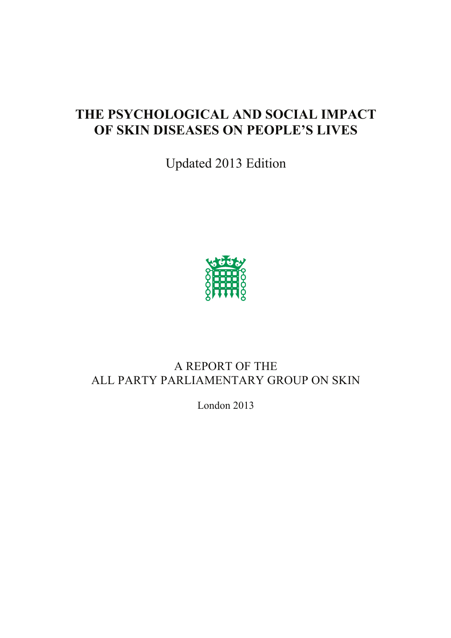# **THE PSYCHOLOGICAL AND SOCIAL IMPACT OF SKIN DISEASES ON PEOPLE'S LIVES**

Updated 2013 Edition



# A REPORT OF THE ALL PARTY PARLIAMENTARY GROUP ON SKIN

London 2013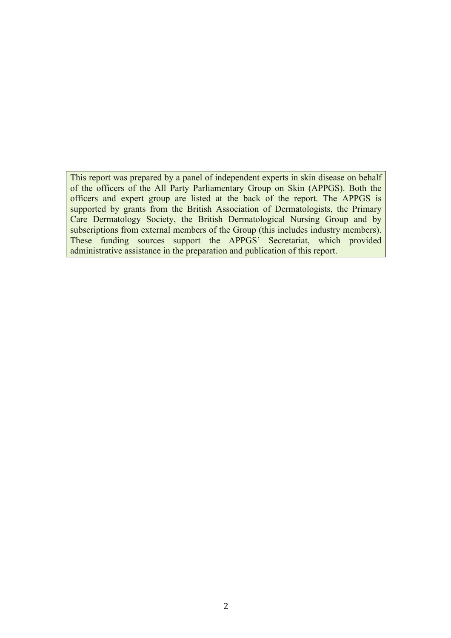This report was prepared by a panel of independent experts in skin disease on behalf of the officers of the All Party Parliamentary Group on Skin (APPGS). Both the officers and expert group are listed at the back of the report. The APPGS is supported by grants from the British Association of Dermatologists, the Primary Care Dermatology Society, the British Dermatological Nursing Group and by subscriptions from external members of the Group (this includes industry members). These funding sources support the APPGS' Secretariat, which provided administrative assistance in the preparation and publication of this report.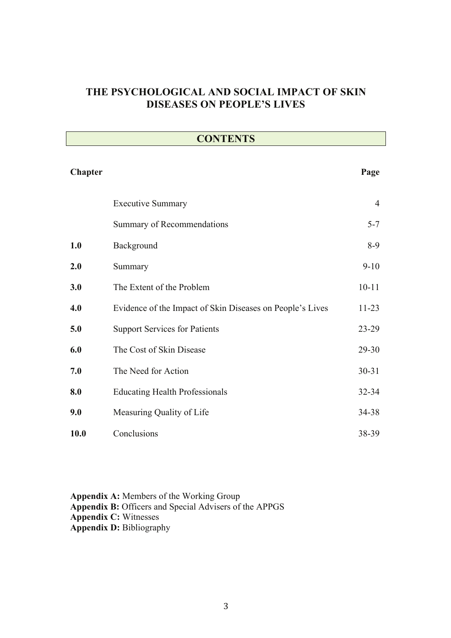## **THE PSYCHOLOGICAL AND SOCIAL IMPACT OF SKIN DISEASES ON PEOPLE'S LIVES**

| <b>CONTENTS</b> |                                                           |                |  |
|-----------------|-----------------------------------------------------------|----------------|--|
| Chapter         |                                                           | Page           |  |
|                 | <b>Executive Summary</b>                                  | $\overline{4}$ |  |
|                 | Summary of Recommendations                                | $5 - 7$        |  |
| 1.0             | Background                                                | $8-9$          |  |
| 2.0             | Summary                                                   | $9-10$         |  |
| 3.0             | The Extent of the Problem                                 | $10 - 11$      |  |
| 4.0             | Evidence of the Impact of Skin Diseases on People's Lives | $11 - 23$      |  |
| 5.0             | <b>Support Services for Patients</b>                      | 23-29          |  |
| 6.0             | The Cost of Skin Disease                                  | 29-30          |  |
| 7.0             | The Need for Action                                       | $30 - 31$      |  |
| 8.0             | <b>Educating Health Professionals</b>                     | 32-34          |  |
| 9.0             | Measuring Quality of Life                                 | 34-38          |  |
| <b>10.0</b>     | Conclusions                                               | 38-39          |  |

**Appendix A:** Members of the Working Group **Appendix B:** Officers and Special Advisers of the APPGS **Appendix C:** Witnesses **Appendix D:** Bibliography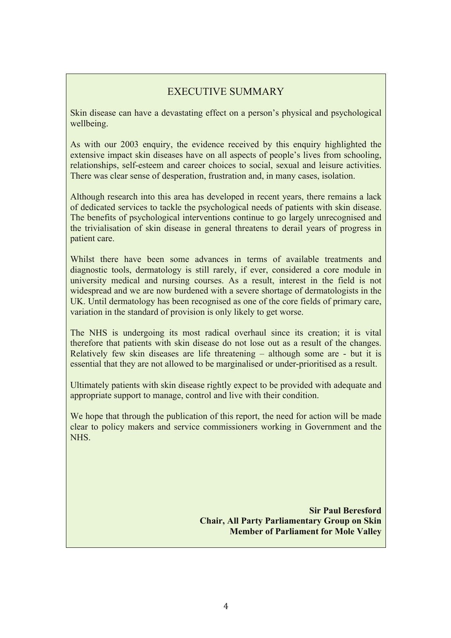## EXECUTIVE SUMMARY

Skin disease can have a devastating effect on a person's physical and psychological wellbeing.

As with our 2003 enquiry, the evidence received by this enquiry highlighted the extensive impact skin diseases have on all aspects of people's lives from schooling, relationships, self-esteem and career choices to social, sexual and leisure activities. There was clear sense of desperation, frustration and, in many cases, isolation.

Although research into this area has developed in recent years, there remains a lack of dedicated services to tackle the psychological needs of patients with skin disease. The benefits of psychological interventions continue to go largely unrecognised and the trivialisation of skin disease in general threatens to derail years of progress in patient care.

Whilst there have been some advances in terms of available treatments and diagnostic tools, dermatology is still rarely, if ever, considered a core module in university medical and nursing courses. As a result, interest in the field is not widespread and we are now burdened with a severe shortage of dermatologists in the UK. Until dermatology has been recognised as one of the core fields of primary care, variation in the standard of provision is only likely to get worse.

The NHS is undergoing its most radical overhaul since its creation; it is vital therefore that patients with skin disease do not lose out as a result of the changes. Relatively few skin diseases are life threatening – although some are - but it is essential that they are not allowed to be marginalised or under-prioritised as a result.

Ultimately patients with skin disease rightly expect to be provided with adequate and appropriate support to manage, control and live with their condition.

We hope that through the publication of this report, the need for action will be made clear to policy makers and service commissioners working in Government and the NHS.

> **Sir Paul Beresford Chair, All Party Parliamentary Group on Skin Member of Parliament for Mole Valley**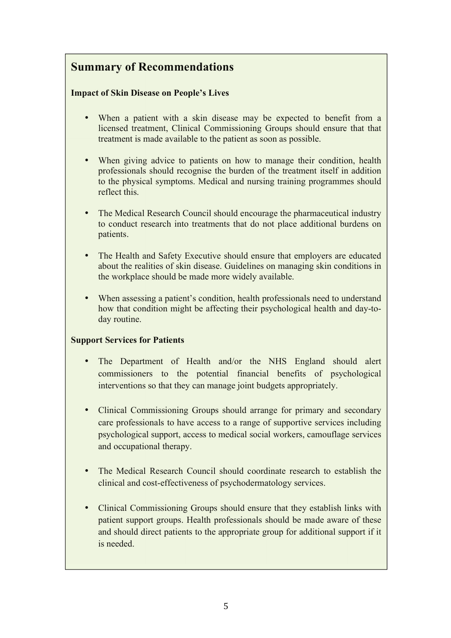# **Summary of Recommendations**

#### **Impact of Skin Disease on People's Lives**

- When a patient with a skin disease may be expected to benefit from a licensed treatment, Clinical Commissioning Groups should ensure that that treatment is made available to the patient as soon as possible.
- When giving advice to patients on how to manage their condition, health professionals should recognise the burden of the treatment itself in addition to the physical symptoms. Medical and nursing training programmes should reflect this.
- The Medical Research Council should encourage the pharmaceutical industry to conduct research into treatments that do not place additional burdens on patients.
- The Health and Safety Executive should ensure that employers are educated about the realities of skin disease. Guidelines on managing skin conditions in the workplace should be made more widely available.
- When assessing a patient's condition, health professionals need to understand how that condition might be affecting their psychological health and day-today routine.

#### **Support Services for Patients**

- The Department of Health and/or the NHS England should alert commissioners to the potential financial benefits of psychological interventions so that they can manage joint budgets appropriately.
- Clinical Commissioning Groups should arrange for primary and secondary care professionals to have access to a range of supportive services including psychological support, access to medical social workers, camouflage services and occupational therapy.
- The Medical Research Council should coordinate research to establish the clinical and cost-effectiveness of psychodermatology services.
- Clinical Commissioning Groups should ensure that they establish links with patient support groups. Health professionals should be made aware of these and should direct patients to the appropriate group for additional support if it is needed.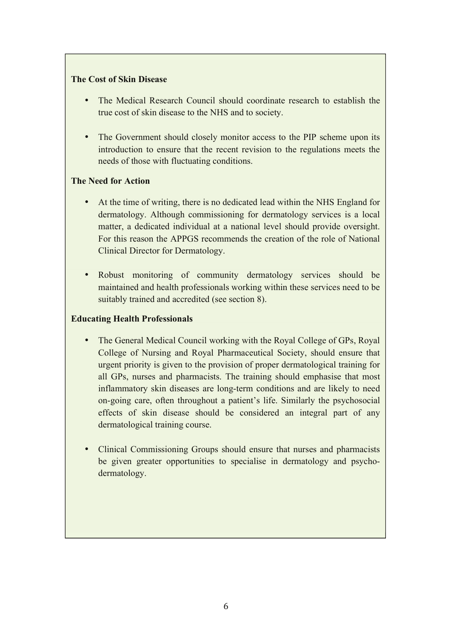#### **The Cost of Skin Disease**

- The Medical Research Council should coordinate research to establish the true cost of skin disease to the NHS and to society.
- The Government should closely monitor access to the PIP scheme upon its introduction to ensure that the recent revision to the regulations meets the needs of those with fluctuating conditions.

#### **The Need for Action**

- At the time of writing, there is no dedicated lead within the NHS England for dermatology. Although commissioning for dermatology services is a local matter, a dedicated individual at a national level should provide oversight. For this reason the APPGS recommends the creation of the role of National Clinical Director for Dermatology.
- Robust monitoring of community dermatology services should be maintained and health professionals working within these services need to be suitably trained and accredited (see section 8).

#### **Educating Health Professionals**

- The General Medical Council working with the Royal College of GPs, Royal College of Nursing and Royal Pharmaceutical Society, should ensure that urgent priority is given to the provision of proper dermatological training for all GPs, nurses and pharmacists. The training should emphasise that most inflammatory skin diseases are long-term conditions and are likely to need on-going care, often throughout a patient's life. Similarly the psychosocial effects of skin disease should be considered an integral part of any dermatological training course.
- Clinical Commissioning Groups should ensure that nurses and pharmacists be given greater opportunities to specialise in dermatology and psychodermatology.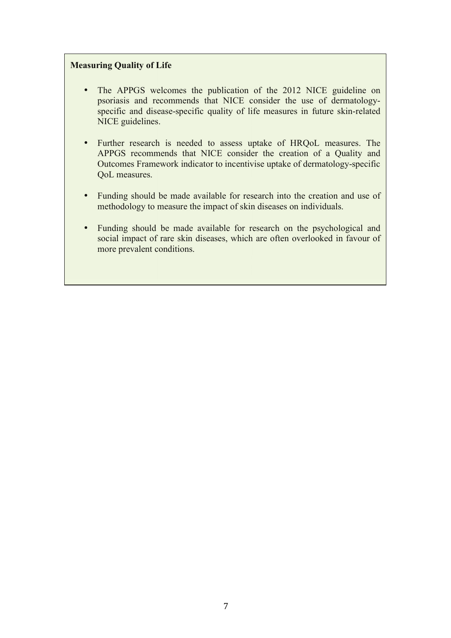#### **Measuring Quality of Life**

- The APPGS welcomes the publication of the 2012 NICE guideline on psoriasis and recommends that NICE consider the use of dermatologyspecific and disease-specific quality of life measures in future skin-related NICE guidelines.
- Further research is needed to assess uptake of HRQoL measures. The APPGS recommends that NICE consider the creation of a Quality and Outcomes Framework indicator to incentivise uptake of dermatology-specific QoL measures.
- Funding should be made available for research into the creation and use of methodology to measure the impact of skin diseases on individuals.
- Funding should be made available for research on the psychological and social impact of rare skin diseases, which are often overlooked in favour of more prevalent conditions.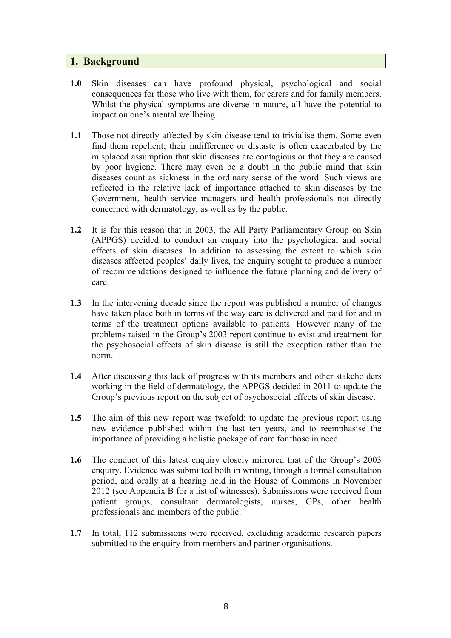#### **1. Background**

- **1.0** Skin diseases can have profound physical, psychological and social consequences for those who live with them, for carers and for family members. Whilst the physical symptoms are diverse in nature, all have the potential to impact on one's mental wellbeing.
- **1.1** Those not directly affected by skin disease tend to trivialise them. Some even find them repellent; their indifference or distaste is often exacerbated by the misplaced assumption that skin diseases are contagious or that they are caused by poor hygiene. There may even be a doubt in the public mind that skin diseases count as sickness in the ordinary sense of the word. Such views are reflected in the relative lack of importance attached to skin diseases by the Government, health service managers and health professionals not directly concerned with dermatology, as well as by the public.
- **1.2** It is for this reason that in 2003, the All Party Parliamentary Group on Skin (APPGS) decided to conduct an enquiry into the psychological and social effects of skin diseases. In addition to assessing the extent to which skin diseases affected peoples' daily lives, the enquiry sought to produce a number of recommendations designed to influence the future planning and delivery of care.
- **1.3** In the intervening decade since the report was published a number of changes have taken place both in terms of the way care is delivered and paid for and in terms of the treatment options available to patients. However many of the problems raised in the Group's 2003 report continue to exist and treatment for the psychosocial effects of skin disease is still the exception rather than the norm.
- **1.4** After discussing this lack of progress with its members and other stakeholders working in the field of dermatology, the APPGS decided in 2011 to update the Group's previous report on the subject of psychosocial effects of skin disease.
- **1.5** The aim of this new report was twofold: to update the previous report using new evidence published within the last ten years, and to reemphasise the importance of providing a holistic package of care for those in need.
- **1.6** The conduct of this latest enquiry closely mirrored that of the Group's 2003 enquiry. Evidence was submitted both in writing, through a formal consultation period, and orally at a hearing held in the House of Commons in November 2012 (see Appendix B for a list of witnesses). Submissions were received from patient groups, consultant dermatologists, nurses, GPs, other health professionals and members of the public.
- **1.7** In total, 112 submissions were received, excluding academic research papers submitted to the enquiry from members and partner organisations.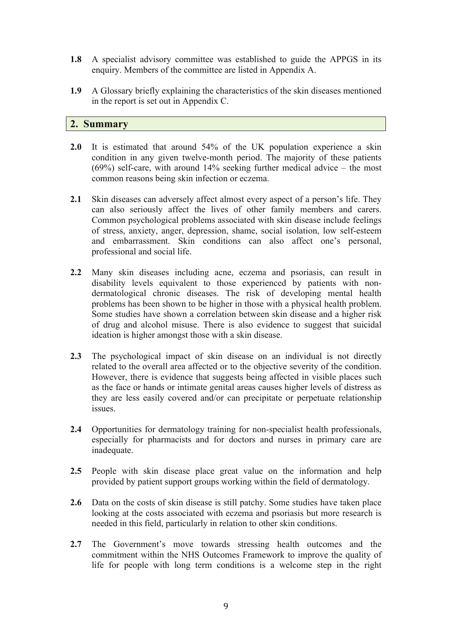- **1.8** A specialist advisory committee was established to guide the APPGS in its enquiry. Members of the committee are listed in Appendix A.
- **1.9** A Glossary briefly explaining the characteristics of the skin diseases mentioned in the report is set out in Appendix C.

#### **2. Summary**

- **2.0** It is estimated that around 54% of the UK population experience a skin condition in any given twelve-month period. The majority of these patients (69%) self-care, with around 14% seeking further medical advice – the most common reasons being skin infection or eczema.
- **2.1** Skin diseases can adversely affect almost every aspect of a person's life. They can also seriously affect the lives of other family members and carers. Common psychological problems associated with skin disease include feelings of stress, anxiety, anger, depression, shame, social isolation, low self-esteem and embarrassment. Skin conditions can also affect one's personal, professional and social life.
- **2.2** Many skin diseases including acne, eczema and psoriasis, can result in disability levels equivalent to those experienced by patients with nondermatological chronic diseases. The risk of developing mental health problems has been shown to be higher in those with a physical health problem. Some studies have shown a correlation between skin disease and a higher risk of drug and alcohol misuse. There is also evidence to suggest that suicidal ideation is higher amongst those with a skin disease.
- **2.3** The psychological impact of skin disease on an individual is not directly related to the overall area affected or to the objective severity of the condition. However, there is evidence that suggests being affected in visible places such as the face or hands or intimate genital areas causes higher levels of distress as they are less easily covered and/or can precipitate or perpetuate relationship issues.
- **2.4** Opportunities for dermatology training for non-specialist health professionals, especially for pharmacists and for doctors and nurses in primary care are inadequate.
- **2.5** People with skin disease place great value on the information and help provided by patient support groups working within the field of dermatology.
- **2.6** Data on the costs of skin disease is still patchy. Some studies have taken place looking at the costs associated with eczema and psoriasis but more research is needed in this field, particularly in relation to other skin conditions.
- **2.7** The Government's move towards stressing health outcomes and the commitment within the NHS Outcomes Framework to improve the quality of life for people with long term conditions is a welcome step in the right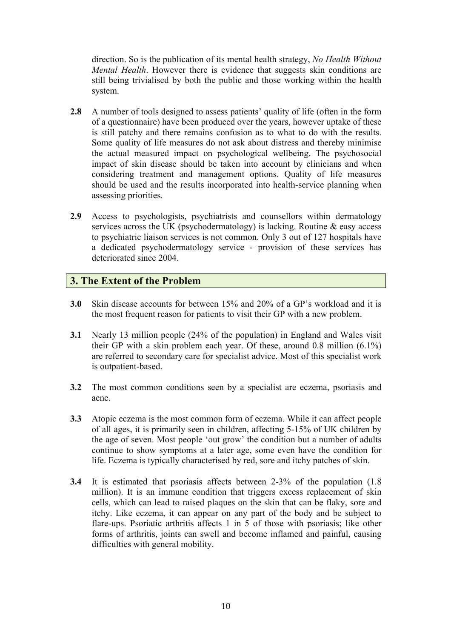direction. So is the publication of its mental health strategy, *No Health Without Mental Health*. However there is evidence that suggests skin conditions are still being trivialised by both the public and those working within the health system.

- 2.8 A number of tools designed to assess patients' quality of life (often in the form of a questionnaire) have been produced over the years, however uptake of these is still patchy and there remains confusion as to what to do with the results. Some quality of life measures do not ask about distress and thereby minimise the actual measured impact on psychological wellbeing. The psychosocial impact of skin disease should be taken into account by clinicians and when considering treatment and management options. Quality of life measures should be used and the results incorporated into health-service planning when assessing priorities.
- **2.9** Access to psychologists, psychiatrists and counsellors within dermatology services across the UK (psychodermatology) is lacking. Routine & easy access to psychiatric liaison services is not common. Only 3 out of 127 hospitals have a dedicated psychodermatology service - provision of these services has deteriorated since 2004.

#### **3. The Extent of the Problem**

- **3.0** Skin disease accounts for between 15% and 20% of a GP's workload and it is the most frequent reason for patients to visit their GP with a new problem.
- **3.1** Nearly 13 million people (24% of the population) in England and Wales visit their GP with a skin problem each year. Of these, around 0.8 million (6.1%) are referred to secondary care for specialist advice. Most of this specialist work is outpatient-based.
- **3.2** The most common conditions seen by a specialist are eczema, psoriasis and acne.
- **3.3** Atopic eczema is the most common form of eczema. While it can affect people of all ages, it is primarily seen in children, affecting 5-15% of UK children by the age of seven. Most people 'out grow' the condition but a number of adults continue to show symptoms at a later age, some even have the condition for life. Eczema is typically characterised by red, sore and itchy patches of skin.
- **3.4** It is estimated that psoriasis affects between 2-3% of the population (1.8 million). It is an immune condition that triggers excess replacement of skin cells, which can lead to raised plaques on the skin that can be flaky, sore and itchy. Like eczema, it can appear on any part of the body and be subject to flare-ups. Psoriatic arthritis affects 1 in 5 of those with psoriasis; like other forms of arthritis, joints can swell and become inflamed and painful, causing difficulties with general mobility.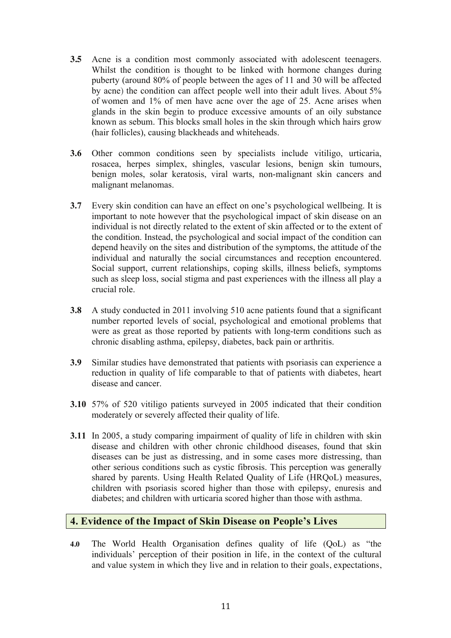- **3.5** Acne is a condition most commonly associated with adolescent teenagers. Whilst the condition is thought to be linked with hormone changes during puberty (around 80% of people between the ages of 11 and 30 will be affected by acne) the condition can affect people well into their adult lives. About 5% of women and 1% of men have acne over the age of 25. Acne arises when glands in the skin begin to produce excessive amounts of an oily substance known as sebum. This blocks small holes in the skin through which hairs grow (hair follicles), causing blackheads and whiteheads.
- **3.6** Other common conditions seen by specialists include vitiligo, urticaria, rosacea, herpes simplex, shingles, vascular lesions, benign skin tumours, benign moles, solar keratosis, viral warts, non-malignant skin cancers and malignant melanomas.
- **3.7** Every skin condition can have an effect on one's psychological wellbeing. It is important to note however that the psychological impact of skin disease on an individual is not directly related to the extent of skin affected or to the extent of the condition. Instead, the psychological and social impact of the condition can depend heavily on the sites and distribution of the symptoms, the attitude of the individual and naturally the social circumstances and reception encountered. Social support, current relationships, coping skills, illness beliefs, symptoms such as sleep loss, social stigma and past experiences with the illness all play a crucial role.
- **3.8** A study conducted in 2011 involving 510 acne patients found that a significant number reported levels of social, psychological and emotional problems that were as great as those reported by patients with long-term conditions such as chronic disabling asthma, epilepsy, diabetes, back pain or arthritis.
- **3.9** Similar studies have demonstrated that patients with psoriasis can experience a reduction in quality of life comparable to that of patients with diabetes, heart disease and cancer.
- **3.10** 57% of 520 vitiligo patients surveyed in 2005 indicated that their condition moderately or severely affected their quality of life.
- **3.11** In 2005, a study comparing impairment of quality of life in children with skin disease and children with other chronic childhood diseases, found that skin diseases can be just as distressing, and in some cases more distressing, than other serious conditions such as cystic fibrosis. This perception was generally shared by parents. Using Health Related Quality of Life (HRQoL) measures, children with psoriasis scored higher than those with epilepsy, enuresis and diabetes; and children with urticaria scored higher than those with asthma.

#### **4. Evidence of the Impact of Skin Disease on People's Lives**

**4.0** The World Health Organisation defines quality of life (QoL) as "the individuals' perception of their position in life, in the context of the cultural and value system in which they live and in relation to their goals, expectations,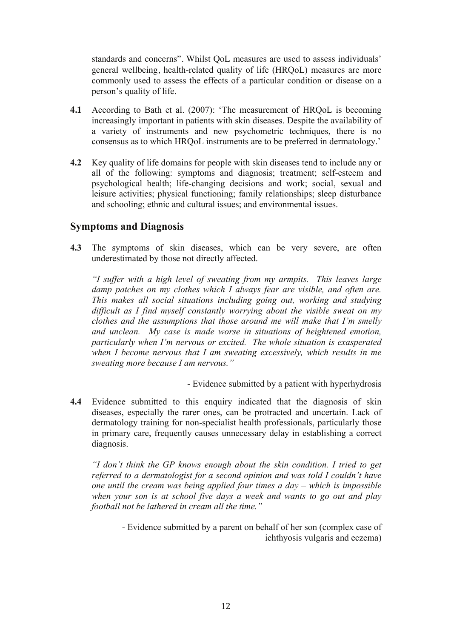standards and concerns". Whilst QoL measures are used to assess individuals' general wellbeing, health-related quality of life (HRQoL) measures are more commonly used to assess the effects of a particular condition or disease on a person's quality of life.

- **4.1** According to Bath et al. (2007): 'The measurement of HRQoL is becoming increasingly important in patients with skin diseases. Despite the availability of a variety of instruments and new psychometric techniques, there is no consensus as to which HRQoL instruments are to be preferred in dermatology.'
- **4.2** Key quality of life domains for people with skin diseases tend to include any or all of the following: symptoms and diagnosis; treatment; self-esteem and psychological health; life-changing decisions and work; social, sexual and leisure activities; physical functioning; family relationships; sleep disturbance and schooling; ethnic and cultural issues; and environmental issues.

#### **Symptoms and Diagnosis**

**4.3** The symptoms of skin diseases, which can be very severe, are often underestimated by those not directly affected.

*"I suffer with a high level of sweating from my armpits. This leaves large damp patches on my clothes which I always fear are visible, and often are. This makes all social situations including going out, working and studying difficult as I find myself constantly worrying about the visible sweat on my clothes and the assumptions that those around me will make that I'm smelly and unclean. My case is made worse in situations of heightened emotion, particularly when I'm nervous or excited. The whole situation is exasperated when I become nervous that I am sweating excessively, which results in me sweating more because I am nervous."*

- Evidence submitted by a patient with hyperhydrosis

**4.4** Evidence submitted to this enquiry indicated that the diagnosis of skin diseases, especially the rarer ones, can be protracted and uncertain. Lack of dermatology training for non-specialist health professionals, particularly those in primary care, frequently causes unnecessary delay in establishing a correct diagnosis.

*"I don't think the GP knows enough about the skin condition. I tried to get referred to a dermatologist for a second opinion and was told I couldn't have one until the cream was being applied four times a day – which is impossible when your son is at school five days a week and wants to go out and play football not be lathered in cream all the time."*

> - Evidence submitted by a parent on behalf of her son (complex case of ichthyosis vulgaris and eczema)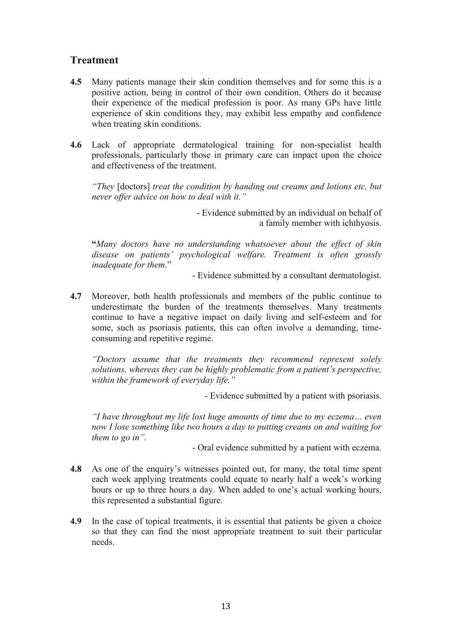### **Treatment**

- **4.5** Many patients manage their skin condition themselves and for some this is a positive action, being in control of their own condition. Others do it because their experience of the medical profession is poor. As many GPs have little experience of skin conditions they, may exhibit less empathy and confidence when treating skin conditions.
- **4.6** Lack of appropriate dermatological training for non-specialist health professionals, particularly those in primary care can impact upon the choice and effectiveness of the treatment.

*"They* [doctors] *treat the condition by handing out creams and lotions etc, but never offer advice on how to deal with it."*

> - Evidence submitted by an individual on behalf of a family member with ichthyosis.

**"***Many doctors have no understanding whatsoever about the effect of skin disease on patients' psychological welfare. Treatment is often grossly inadequate for them*."

- Evidence submitted by a consultant dermatologist.

**4.7** Moreover, both health professionals and members of the public continue to underestimate the burden of the treatments themselves. Many treatments continue to have a negative impact on daily living and self-esteem and for some, such as psoriasis patients, this can often involve a demanding, timeconsuming and repetitive regime.

*"Doctors assume that the treatments they recommend represent solely solutions, whereas they can be highly problematic from a patient's perspective, within the framework of everyday life."*

- Evidence submitted by a patient with psoriasis.

*"I have throughout my life lost huge amounts of time due to my eczema… even now I lose something like two hours a day to putting creams on and waiting for them to go in".*

- Oral evidence submitted by a patient with eczema.

- **4.8** As one of the enquiry's witnesses pointed out, for many, the total time spent each week applying treatments could equate to nearly half a week's working hours or up to three hours a day. When added to one's actual working hours, this represented a substantial figure.
- **4.9** In the case of topical treatments, it is essential that patients be given a choice so that they can find the most appropriate treatment to suit their particular needs.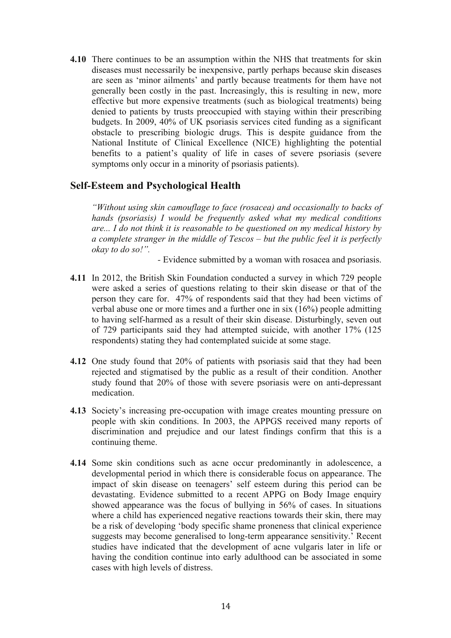**4.10** There continues to be an assumption within the NHS that treatments for skin diseases must necessarily be inexpensive, partly perhaps because skin diseases are seen as 'minor ailments' and partly because treatments for them have not generally been costly in the past. Increasingly, this is resulting in new, more effective but more expensive treatments (such as biological treatments) being denied to patients by trusts preoccupied with staying within their prescribing budgets. In 2009, 40% of UK psoriasis services cited funding as a significant obstacle to prescribing biologic drugs. This is despite guidance from the National Institute of Clinical Excellence (NICE) highlighting the potential benefits to a patient's quality of life in cases of severe psoriasis (severe symptoms only occur in a minority of psoriasis patients).

#### **Self-Esteem and Psychological Health**

*"Without using skin camouflage to face (rosacea) and occasionally to backs of hands (psoriasis) I would be frequently asked what my medical conditions are... I do not think it is reasonable to be questioned on my medical history by a complete stranger in the middle of Tescos – but the public feel it is perfectly okay to do so!".* 

*-* Evidence submitted by a woman with rosacea and psoriasis.

- **4.11** In 2012, the British Skin Foundation conducted a survey in which 729 people were asked a series of questions relating to their skin disease or that of the person they care for. 47% of respondents said that they had been victims of verbal abuse one or more times and a further one in six (16%) people admitting to having self-harmed as a result of their skin disease. Disturbingly, seven out of 729 participants said they had attempted suicide, with another 17% (125 respondents) stating they had contemplated suicide at some stage.
- **4.12** One study found that 20% of patients with psoriasis said that they had been rejected and stigmatised by the public as a result of their condition. Another study found that 20% of those with severe psoriasis were on anti-depressant medication.
- **4.13** Society's increasing pre-occupation with image creates mounting pressure on people with skin conditions. In 2003, the APPGS received many reports of discrimination and prejudice and our latest findings confirm that this is a continuing theme.
- **4.14** Some skin conditions such as acne occur predominantly in adolescence, a developmental period in which there is considerable focus on appearance. The impact of skin disease on teenagers' self esteem during this period can be devastating. Evidence submitted to a recent APPG on Body Image enquiry showed appearance was the focus of bullying in 56% of cases. In situations where a child has experienced negative reactions towards their skin, there may be a risk of developing 'body specific shame proneness that clinical experience suggests may become generalised to long-term appearance sensitivity.' Recent studies have indicated that the development of acne vulgaris later in life or having the condition continue into early adulthood can be associated in some cases with high levels of distress.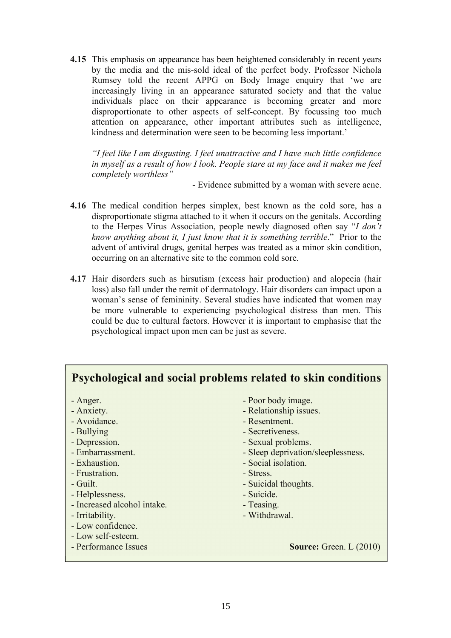**4.15** This emphasis on appearance has been heightened considerably in recent years by the media and the mis-sold ideal of the perfect body. Professor Nichola Rumsey told the recent APPG on Body Image enquiry that 'we are increasingly living in an appearance saturated society and that the value individuals place on their appearance is becoming greater and more disproportionate to other aspects of self-concept. By focussing too much attention on appearance, other important attributes such as intelligence, kindness and determination were seen to be becoming less important.'

*"I feel like I am disgusting. I feel unattractive and I have such little confidence in myself as a result of how I look. People stare at my face and it makes me feel completely worthless"*

- Evidence submitted by a woman with severe acne.

- **4.16** The medical condition herpes simplex, best known as the cold sore, has a disproportionate stigma attached to it when it occurs on the genitals. According to the Herpes Virus Association, people newly diagnosed often say "*I don't know anything about it, I just know that it is something terrible*." Prior to the advent of antiviral drugs, genital herpes was treated as a minor skin condition, occurring on an alternative site to the common cold sore.
- **4.17** Hair disorders such as hirsutism (excess hair production) and alopecia (hair loss) also fall under the remit of dermatology. Hair disorders can impact upon a woman's sense of femininity. Several studies have indicated that women may be more vulnerable to experiencing psychological distress than men. This could be due to cultural factors. However it is important to emphasise that the psychological impact upon men can be just as severe.

| Psychological and social problems related to skin conditions                                                                                                                                                                                                                     |                                                                                                                                                                                                                                                                                           |  |  |
|----------------------------------------------------------------------------------------------------------------------------------------------------------------------------------------------------------------------------------------------------------------------------------|-------------------------------------------------------------------------------------------------------------------------------------------------------------------------------------------------------------------------------------------------------------------------------------------|--|--|
| - Anger.<br>- Anxiety.<br>- Avoidance.<br>- Bullying<br>- Depression.<br>- Embarrassment.<br>- Exhaustion.<br>- Frustration.<br>- Guilt.<br>- Helplessness.<br>- Increased alcohol intake.<br>- Irritability.<br>- Low confidence.<br>- Low self-esteem.<br>- Performance Issues | - Poor body image.<br>- Relationship issues.<br>- Resentment.<br>- Secretiveness.<br>- Sexual problems.<br>- Sleep deprivation/sleeplessness.<br>- Social isolation.<br>- Stress.<br>- Suicidal thoughts.<br>- Suicide.<br>- Teasing.<br>- Withdrawal.<br><b>Source:</b> Green. $L(2010)$ |  |  |
|                                                                                                                                                                                                                                                                                  |                                                                                                                                                                                                                                                                                           |  |  |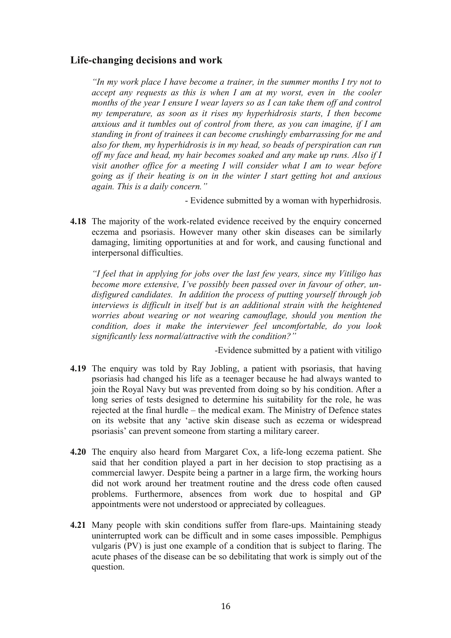#### **Life-changing decisions and work**

*"In my work place I have become a trainer, in the summer months I try not to accept any requests as this is when I am at my worst, even in the cooler months of the year I ensure I wear layers so as I can take them off and control my temperature, as soon as it rises my hyperhidrosis starts, I then become anxious and it tumbles out of control from there, as you can imagine, if I am standing in front of trainees it can become crushingly embarrassing for me and also for them, my hyperhidrosis is in my head, so beads of perspiration can run off my face and head, my hair becomes soaked and any make up runs. Also if I visit another office for a meeting I will consider what I am to wear before going as if their heating is on in the winter I start getting hot and anxious again. This is a daily concern."*

- Evidence submitted by a woman with hyperhidrosis.

**4.18** The majority of the work-related evidence received by the enquiry concerned eczema and psoriasis. However many other skin diseases can be similarly damaging, limiting opportunities at and for work, and causing functional and interpersonal difficulties.

*"I feel that in applying for jobs over the last few years, since my Vitiligo has become more extensive, I've possibly been passed over in favour of other, undisfigured candidates. In addition the process of putting yourself through job interviews is difficult in itself but is an additional strain with the heightened worries about wearing or not wearing camouflage, should you mention the condition, does it make the interviewer feel uncomfortable, do you look significantly less normal/attractive with the condition?"*

*-*Evidence submitted by a patient with vitiligo

- **4.19** The enquiry was told by Ray Jobling, a patient with psoriasis, that having psoriasis had changed his life as a teenager because he had always wanted to join the Royal Navy but was prevented from doing so by his condition. After a long series of tests designed to determine his suitability for the role, he was rejected at the final hurdle – the medical exam. The Ministry of Defence states on its website that any 'active skin disease such as eczema or widespread psoriasis' can prevent someone from starting a military career.
- **4.20** The enquiry also heard from Margaret Cox, a life-long eczema patient. She said that her condition played a part in her decision to stop practising as a commercial lawyer. Despite being a partner in a large firm, the working hours did not work around her treatment routine and the dress code often caused problems. Furthermore, absences from work due to hospital and GP appointments were not understood or appreciated by colleagues.
- **4.21** Many people with skin conditions suffer from flare-ups. Maintaining steady uninterrupted work can be difficult and in some cases impossible. Pemphigus vulgaris (PV) is just one example of a condition that is subject to flaring. The acute phases of the disease can be so debilitating that work is simply out of the question.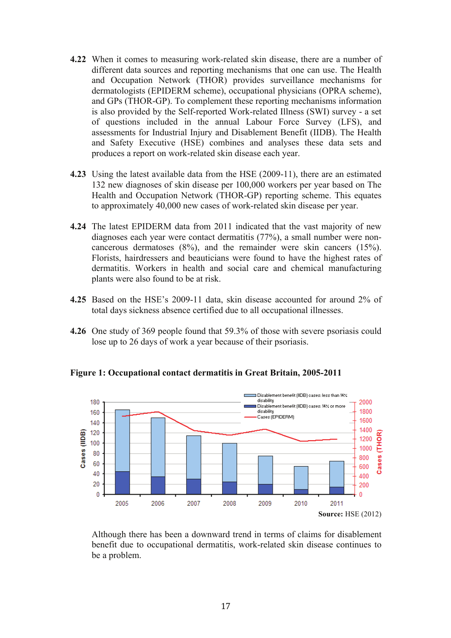- **4.22** When it comes to measuring work-related skin disease, there are a number of different data sources and reporting mechanisms that one can use. The Health and Occupation Network (THOR) provides surveillance mechanisms for dermatologists (EPIDERM scheme), occupational physicians (OPRA scheme), and GPs (THOR-GP). To complement these reporting mechanisms information is also provided by the Self-reported Work-related Illness (SWI) survey - a set of questions included in the annual Labour Force Survey (LFS), and assessments for Industrial Injury and Disablement Benefit (IIDB). The Health and Safety Executive (HSE) combines and analyses these data sets and produces a report on work-related skin disease each year.
- **4.23** Using the latest available data from the HSE (2009-11), there are an estimated 132 new diagnoses of skin disease per 100,000 workers per year based on The Health and Occupation Network (THOR-GP) reporting scheme. This equates to approximately 40,000 new cases of work-related skin disease per year.
- **4.24** The latest EPIDERM data from 2011 indicated that the vast majority of new diagnoses each year were contact dermatitis (77%), a small number were noncancerous dermatoses (8%), and the remainder were skin cancers (15%). Florists, hairdressers and beauticians were found to have the highest rates of dermatitis. Workers in health and social care and chemical manufacturing plants were also found to be at risk.
- **4.25** Based on the HSE's 2009-11 data, skin disease accounted for around 2% of total days sickness absence certified due to all occupational illnesses.
- **4.26** One study of 369 people found that 59.3% of those with severe psoriasis could lose up to 26 days of work a year because of their psoriasis.



**Figure 1: Occupational contact dermatitis in Great Britain, 2005-2011**

Although there has been a downward trend in terms of claims for disablement benefit due to occupational dermatitis, work-related skin disease continues to be a problem.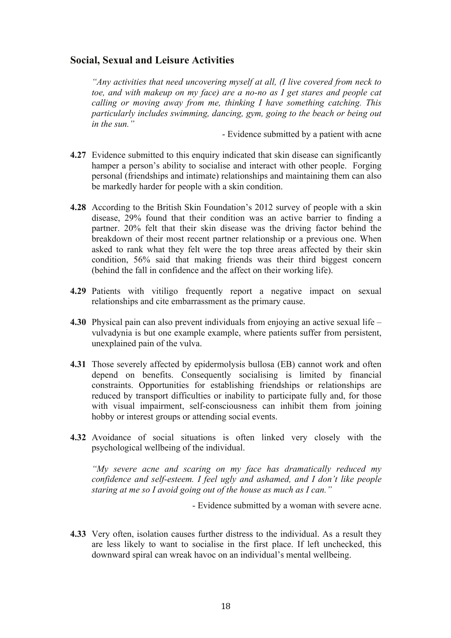#### **Social, Sexual and Leisure Activities**

*"Any activities that need uncovering myself at all, (I live covered from neck to toe, and with makeup on my face) are a no-no as I get stares and people cat calling or moving away from me, thinking I have something catching. This particularly includes swimming, dancing, gym, going to the beach or being out in the sun."*

- Evidence submitted by a patient with acne

- **4.27** Evidence submitted to this enquiry indicated that skin disease can significantly hamper a person's ability to socialise and interact with other people. Forging personal (friendships and intimate) relationships and maintaining them can also be markedly harder for people with a skin condition.
- **4.28** According to the British Skin Foundation's 2012 survey of people with a skin disease, 29% found that their condition was an active barrier to finding a partner. 20% felt that their skin disease was the driving factor behind the breakdown of their most recent partner relationship or a previous one. When asked to rank what they felt were the top three areas affected by their skin condition, 56% said that making friends was their third biggest concern (behind the fall in confidence and the affect on their working life).
- **4.29** Patients with vitiligo frequently report a negative impact on sexual relationships and cite embarrassment as the primary cause.
- **4.30** Physical pain can also prevent individuals from enjoying an active sexual life vulvadynia is but one example example, where patients suffer from persistent, unexplained pain of the vulva.
- **4.31** Those severely affected by epidermolysis bullosa (EB) cannot work and often depend on benefits. Consequently socialising is limited by financial constraints. Opportunities for establishing friendships or relationships are reduced by transport difficulties or inability to participate fully and, for those with visual impairment, self-consciousness can inhibit them from joining hobby or interest groups or attending social events.
- **4.32** Avoidance of social situations is often linked very closely with the psychological wellbeing of the individual.

*"My severe acne and scaring on my face has dramatically reduced my confidence and self-esteem. I feel ugly and ashamed, and I don't like people staring at me so I avoid going out of the house as much as I can."*

- Evidence submitted by a woman with severe acne.

**4.33** Very often, isolation causes further distress to the individual. As a result they are less likely to want to socialise in the first place. If left unchecked, this downward spiral can wreak havoc on an individual's mental wellbeing.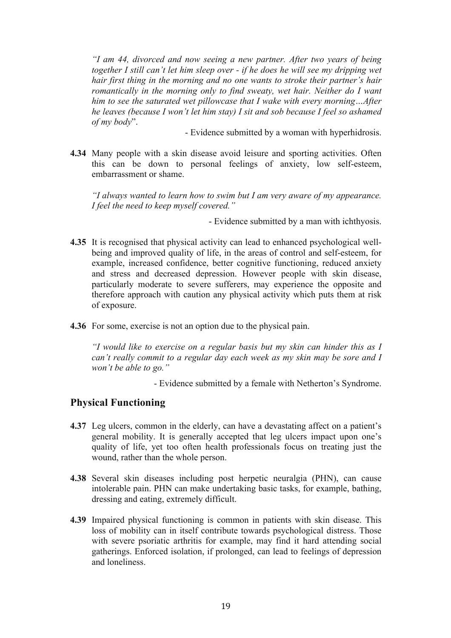*"I am 44, divorced and now seeing a new partner. After two years of being together I still can't let him sleep over - if he does he will see my dripping wet hair first thing in the morning and no one wants to stroke their partner's hair romantically in the morning only to find sweaty, wet hair. Neither do I want him to see the saturated wet pillowcase that I wake with every morning…After he leaves (because I won't let him stay) I sit and sob because I feel so ashamed of my body*".

- Evidence submitted by a woman with hyperhidrosis.

**4.34** Many people with a skin disease avoid leisure and sporting activities. Often this can be down to personal feelings of anxiety, low self-esteem, embarrassment or shame.

*"I always wanted to learn how to swim but I am very aware of my appearance. I feel the need to keep myself covered."*

- Evidence submitted by a man with ichthyosis.

- **4.35** It is recognised that physical activity can lead to enhanced psychological wellbeing and improved quality of life, in the areas of control and self-esteem, for example, increased confidence, better cognitive functioning, reduced anxiety and stress and decreased depression. However people with skin disease, particularly moderate to severe sufferers, may experience the opposite and therefore approach with caution any physical activity which puts them at risk of exposure.
- **4.36** For some, exercise is not an option due to the physical pain.

*"I would like to exercise on a regular basis but my skin can hinder this as I can't really commit to a regular day each week as my skin may be sore and I won't be able to go."*

- Evidence submitted by a female with Netherton's Syndrome.

#### **Physical Functioning**

- **4.37** Leg ulcers, common in the elderly, can have a devastating affect on a patient's general mobility. It is generally accepted that leg ulcers impact upon one's quality of life, yet too often health professionals focus on treating just the wound, rather than the whole person.
- **4.38** Several skin diseases including post herpetic neuralgia (PHN), can cause intolerable pain. PHN can make undertaking basic tasks, for example, bathing, dressing and eating, extremely difficult.
- **4.39** Impaired physical functioning is common in patients with skin disease. This loss of mobility can in itself contribute towards psychological distress. Those with severe psoriatic arthritis for example, may find it hard attending social gatherings. Enforced isolation, if prolonged, can lead to feelings of depression and loneliness.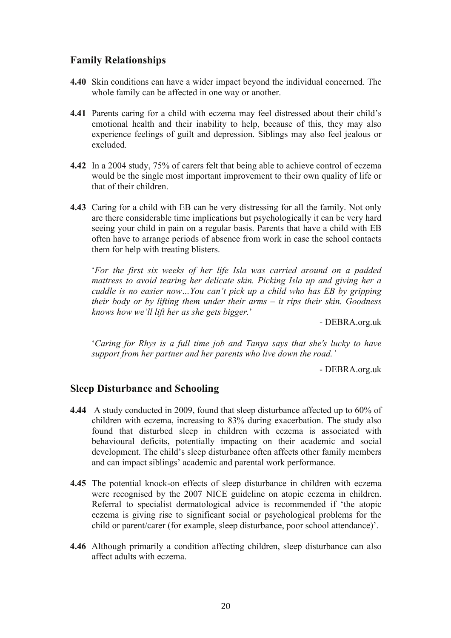#### **Family Relationships**

- **4.40** Skin conditions can have a wider impact beyond the individual concerned. The whole family can be affected in one way or another.
- **4.41** Parents caring for a child with eczema may feel distressed about their child's emotional health and their inability to help, because of this, they may also experience feelings of guilt and depression. Siblings may also feel jealous or excluded.
- **4.42** In a 2004 study, 75% of carers felt that being able to achieve control of eczema would be the single most important improvement to their own quality of life or that of their children.
- **4.43** Caring for a child with EB can be very distressing for all the family. Not only are there considerable time implications but psychologically it can be very hard seeing your child in pain on a regular basis. Parents that have a child with EB often have to arrange periods of absence from work in case the school contacts them for help with treating blisters.

'*For the first six weeks of her life Isla was carried around on a padded mattress to avoid tearing her delicate skin. Picking Isla up and giving her a cuddle is no easier now…You can't pick up a child who has EB by gripping their body or by lifting them under their arms – it rips their skin. Goodness knows how we'll lift her as she gets bigger.*'

- DEBRA.org.uk

'*Caring for Rhys is a full time job and Tanya says that she's lucky to have support from her partner and her parents who live down the road.'*

- DEBRA.org.uk

#### **Sleep Disturbance and Schooling**

- **4.44** A study conducted in 2009, found that sleep disturbance affected up to 60% of children with eczema, increasing to 83% during exacerbation. The study also found that disturbed sleep in children with eczema is associated with behavioural deficits, potentially impacting on their academic and social development. The child's sleep disturbance often affects other family members and can impact siblings' academic and parental work performance.
- **4.45** The potential knock-on effects of sleep disturbance in children with eczema were recognised by the 2007 NICE guideline on atopic eczema in children. Referral to specialist dermatological advice is recommended if 'the atopic eczema is giving rise to significant social or psychological problems for the child or parent/carer (for example, sleep disturbance, poor school attendance)'.
- **4.46** Although primarily a condition affecting children, sleep disturbance can also affect adults with eczema.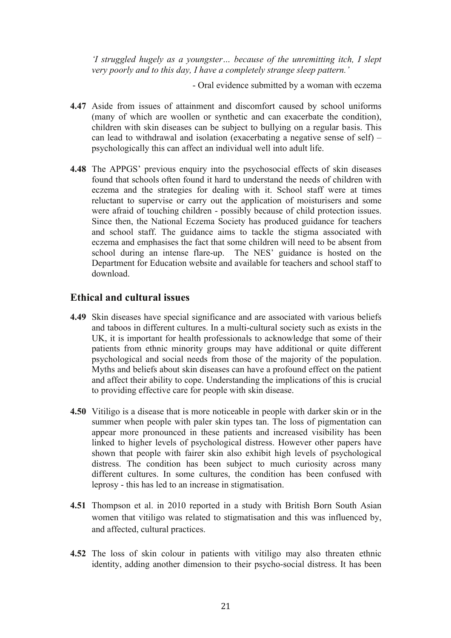*'I struggled hugely as a youngster… because of the unremitting itch, I slept very poorly and to this day, I have a completely strange sleep pattern.'*

- Oral evidence submitted by a woman with eczema

- **4.47** Aside from issues of attainment and discomfort caused by school uniforms (many of which are woollen or synthetic and can exacerbate the condition), children with skin diseases can be subject to bullying on a regular basis. This can lead to withdrawal and isolation (exacerbating a negative sense of self) – psychologically this can affect an individual well into adult life.
- **4.48** The APPGS' previous enquiry into the psychosocial effects of skin diseases found that schools often found it hard to understand the needs of children with eczema and the strategies for dealing with it. School staff were at times reluctant to supervise or carry out the application of moisturisers and some were afraid of touching children - possibly because of child protection issues. Since then, the National Eczema Society has produced guidance for teachers and school staff. The guidance aims to tackle the stigma associated with eczema and emphasises the fact that some children will need to be absent from school during an intense flare-up. The NES' guidance is hosted on the Department for Education website and available for teachers and school staff to download.

#### **Ethical and cultural issues**

- **4.49** Skin diseases have special significance and are associated with various beliefs and taboos in different cultures. In a multi-cultural society such as exists in the UK, it is important for health professionals to acknowledge that some of their patients from ethnic minority groups may have additional or quite different psychological and social needs from those of the majority of the population. Myths and beliefs about skin diseases can have a profound effect on the patient and affect their ability to cope. Understanding the implications of this is crucial to providing effective care for people with skin disease.
- **4.50** Vitiligo is a disease that is more noticeable in people with darker skin or in the summer when people with paler skin types tan. The loss of pigmentation can appear more pronounced in these patients and increased visibility has been linked to higher levels of psychological distress. However other papers have shown that people with fairer skin also exhibit high levels of psychological distress. The condition has been subject to much curiosity across many different cultures. In some cultures, the condition has been confused with leprosy - this has led to an increase in stigmatisation.
- **4.51** Thompson et al. in 2010 reported in a study with British Born South Asian women that vitiligo was related to stigmatisation and this was influenced by, and affected, cultural practices.
- **4.52** The loss of skin colour in patients with vitiligo may also threaten ethnic identity, adding another dimension to their psycho-social distress. It has been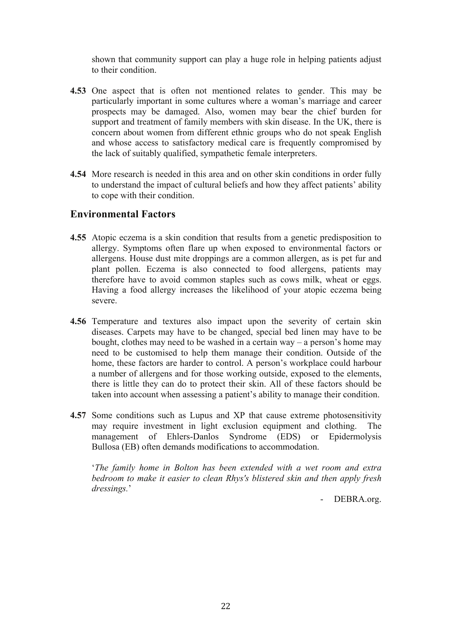shown that community support can play a huge role in helping patients adjust to their condition.

- **4.53** One aspect that is often not mentioned relates to gender. This may be particularly important in some cultures where a woman's marriage and career prospects may be damaged. Also, women may bear the chief burden for support and treatment of family members with skin disease. In the UK, there is concern about women from different ethnic groups who do not speak English and whose access to satisfactory medical care is frequently compromised by the lack of suitably qualified, sympathetic female interpreters.
- **4.54** More research is needed in this area and on other skin conditions in order fully to understand the impact of cultural beliefs and how they affect patients' ability to cope with their condition.

#### **Environmental Factors**

- **4.55** Atopic eczema is a skin condition that results from a genetic predisposition to allergy. Symptoms often flare up when exposed to environmental factors or allergens. House dust mite droppings are a common allergen, as is pet fur and plant pollen. Eczema is also connected to food allergens, patients may therefore have to avoid common staples such as cows milk, wheat or eggs. Having a food allergy increases the likelihood of your atopic eczema being severe.
- **4.56** Temperature and textures also impact upon the severity of certain skin diseases. Carpets may have to be changed, special bed linen may have to be bought, clothes may need to be washed in a certain way – a person's home may need to be customised to help them manage their condition. Outside of the home, these factors are harder to control. A person's workplace could harbour a number of allergens and for those working outside, exposed to the elements, there is little they can do to protect their skin. All of these factors should be taken into account when assessing a patient's ability to manage their condition.
- **4.57** Some conditions such as Lupus and XP that cause extreme photosensitivity may require investment in light exclusion equipment and clothing. The management of Ehlers-Danlos Syndrome (EDS) or Epidermolysis Bullosa (EB) often demands modifications to accommodation.

'*The family home in Bolton has been extended with a wet room and extra bedroom to make it easier to clean Rhys's blistered skin and then apply fresh dressings.*'

- DEBRA.org.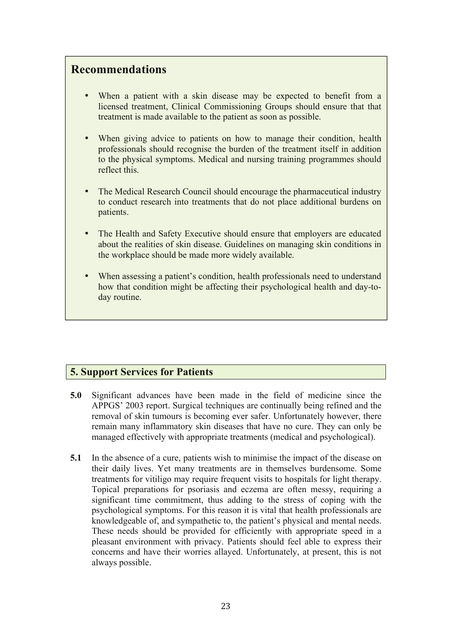# **Recommendations**

- When a patient with a skin disease may be expected to benefit from a licensed treatment, Clinical Commissioning Groups should ensure that that treatment is made available to the patient as soon as possible.
- When giving advice to patients on how to manage their condition, health professionals should recognise the burden of the treatment itself in addition to the physical symptoms. Medical and nursing training programmes should reflect this.
- The Medical Research Council should encourage the pharmaceutical industry to conduct research into treatments that do not place additional burdens on patients.
- The Health and Safety Executive should ensure that employers are educated about the realities of skin disease. Guidelines on managing skin conditions in the workplace should be made more widely available.
- When assessing a patient's condition, health professionals need to understand how that condition might be affecting their psychological health and day-today routine.

#### **5. Support Services for Patients**

- **5.0** Significant advances have been made in the field of medicine since the APPGS' 2003 report. Surgical techniques are continually being refined and the removal of skin tumours is becoming ever safer. Unfortunately however, there remain many inflammatory skin diseases that have no cure. They can only be managed effectively with appropriate treatments (medical and psychological).
- **5.1** In the absence of a cure, patients wish to minimise the impact of the disease on their daily lives. Yet many treatments are in themselves burdensome. Some treatments for vitiligo may require frequent visits to hospitals for light therapy. Topical preparations for psoriasis and eczema are often messy, requiring a significant time commitment, thus adding to the stress of coping with the psychological symptoms. For this reason it is vital that health professionals are knowledgeable of, and sympathetic to, the patient's physical and mental needs. These needs should be provided for efficiently with appropriate speed in a pleasant environment with privacy. Patients should feel able to express their concerns and have their worries allayed. Unfortunately, at present, this is not always possible.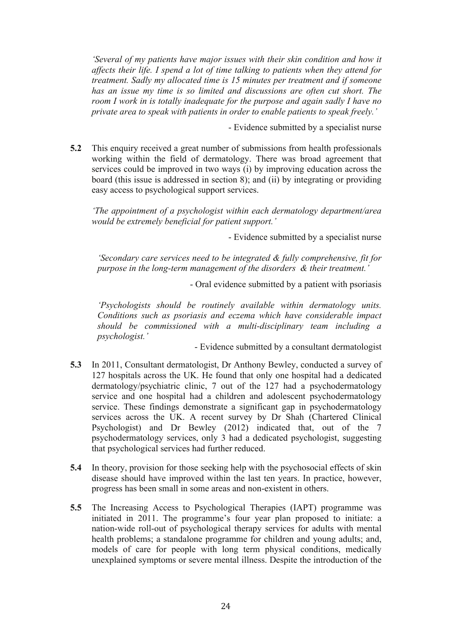*'Several of my patients have major issues with their skin condition and how it affects their life. I spend a lot of time talking to patients when they attend for treatment. Sadly my allocated time is 15 minutes per treatment and if someone has an issue my time is so limited and discussions are often cut short. The room I work in is totally inadequate for the purpose and again sadly I have no private area to speak with patients in order to enable patients to speak freely.'*

- Evidence submitted by a specialist nurse

**5.2** This enquiry received a great number of submissions from health professionals working within the field of dermatology. There was broad agreement that services could be improved in two ways (i) by improving education across the board (this issue is addressed in section 8); and (ii) by integrating or providing easy access to psychological support services.

*'The appointment of a psychologist within each dermatology department/area would be extremely beneficial for patient support.'*

- Evidence submitted by a specialist nurse

*'Secondary care services need to be integrated & fully comprehensive, fit for purpose in the long-term management of the disorders & their treatment.'*

- Oral evidence submitted by a patient with psoriasis

*'Psychologists should be routinely available within dermatology units. Conditions such as psoriasis and eczema which have considerable impact should be commissioned with a multi-disciplinary team including a psychologist.'*

- Evidence submitted by a consultant dermatologist

- **5.3** In 2011, Consultant dermatologist, Dr Anthony Bewley, conducted a survey of 127 hospitals across the UK. He found that only one hospital had a dedicated dermatology/psychiatric clinic, 7 out of the 127 had a psychodermatology service and one hospital had a children and adolescent psychodermatology service. These findings demonstrate a significant gap in psychodermatology services across the UK. A recent survey by Dr Shah (Chartered Clinical Psychologist) and Dr Bewley (2012) indicated that, out of the 7 psychodermatology services, only 3 had a dedicated psychologist, suggesting that psychological services had further reduced.
- **5.4** In theory, provision for those seeking help with the psychosocial effects of skin disease should have improved within the last ten years. In practice, however, progress has been small in some areas and non-existent in others.
- **5.5** The Increasing Access to Psychological Therapies (IAPT) programme was initiated in 2011. The programme's four year plan proposed to initiate: a nation-wide roll-out of psychological therapy services for adults with mental health problems; a standalone programme for children and young adults; and, models of care for people with long term physical conditions, medically unexplained symptoms or severe mental illness. Despite the introduction of the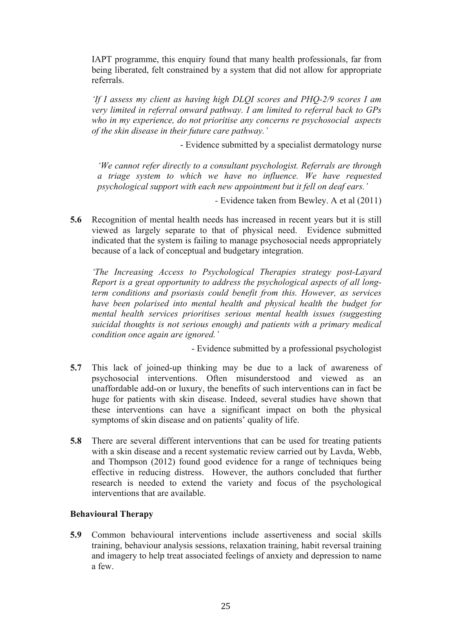IAPT programme, this enquiry found that many health professionals, far from being liberated, felt constrained by a system that did not allow for appropriate referrals.

*'If I assess my client as having high DLQI scores and PHQ-2/9 scores I am very limited in referral onward pathway. I am limited to referral back to GPs who in my experience, do not prioritise any concerns re psychosocial aspects of the skin disease in their future care pathway.'*

- Evidence submitted by a specialist dermatology nurse

*'We cannot refer directly to a consultant psychologist. Referrals are through a triage system to which we have no influence. We have requested psychological support with each new appointment but it fell on deaf ears.'*

*-* Evidence taken from Bewley. A et al (2011)

**5.6** Recognition of mental health needs has increased in recent years but it is still viewed as largely separate to that of physical need. Evidence submitted indicated that the system is failing to manage psychosocial needs appropriately because of a lack of conceptual and budgetary integration.

*'The Increasing Access to Psychological Therapies strategy post-Layard Report is a great opportunity to address the psychological aspects of all longterm conditions and psoriasis could benefit from this. However, as services have been polarised into mental health and physical health the budget for mental health services prioritises serious mental health issues (suggesting suicidal thoughts is not serious enough) and patients with a primary medical condition once again are ignored.'*

- Evidence submitted by a professional psychologist

- **5.7** This lack of joined-up thinking may be due to a lack of awareness of psychosocial interventions. Often misunderstood and viewed as an unaffordable add-on or luxury, the benefits of such interventions can in fact be huge for patients with skin disease. Indeed, several studies have shown that these interventions can have a significant impact on both the physical symptoms of skin disease and on patients' quality of life.
- **5.8** There are several different interventions that can be used for treating patients with a skin disease and a recent systematic review carried out by Lavda, Webb, and Thompson (2012) found good evidence for a range of techniques being effective in reducing distress. However, the authors concluded that further research is needed to extend the variety and focus of the psychological interventions that are available.

#### **Behavioural Therapy**

**5.9** Common behavioural interventions include assertiveness and social skills training, behaviour analysis sessions, relaxation training, habit reversal training and imagery to help treat associated feelings of anxiety and depression to name a few.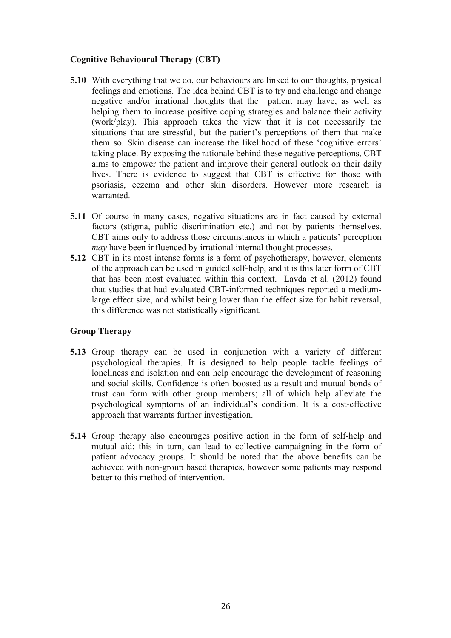#### **Cognitive Behavioural Therapy (CBT)**

- **5.10** With everything that we do, our behaviours are linked to our thoughts, physical feelings and emotions. The idea behind CBT is to try and challenge and change negative and/or irrational thoughts that the patient may have, as well as helping them to increase positive coping strategies and balance their activity (work/play). This approach takes the view that it is not necessarily the situations that are stressful, but the patient's perceptions of them that make them so. Skin disease can increase the likelihood of these 'cognitive errors' taking place. By exposing the rationale behind these negative perceptions, CBT aims to empower the patient and improve their general outlook on their daily lives. There is evidence to suggest that CBT is effective for those with psoriasis, eczema and other skin disorders. However more research is warranted.
- **5.11** Of course in many cases, negative situations are in fact caused by external factors (stigma, public discrimination etc.) and not by patients themselves. CBT aims only to address those circumstances in which a patients' perception *may* have been influenced by irrational internal thought processes.
- **5.12** CBT in its most intense forms is a form of psychotherapy, however, elements of the approach can be used in guided self-help, and it is this later form of CBT that has been most evaluated within this context. Lavda et al. (2012) found that studies that had evaluated CBT-informed techniques reported a mediumlarge effect size, and whilst being lower than the effect size for habit reversal, this difference was not statistically significant.

#### **Group Therapy**

- **5.13** Group therapy can be used in conjunction with a variety of different psychological therapies. It is designed to help people tackle feelings of loneliness and isolation and can help encourage the development of reasoning and social skills. Confidence is often boosted as a result and mutual bonds of trust can form with other group members; all of which help alleviate the psychological symptoms of an individual's condition. It is a cost-effective approach that warrants further investigation.
- **5.14** Group therapy also encourages positive action in the form of self-help and mutual aid; this in turn, can lead to collective campaigning in the form of patient advocacy groups. It should be noted that the above benefits can be achieved with non-group based therapies, however some patients may respond better to this method of intervention.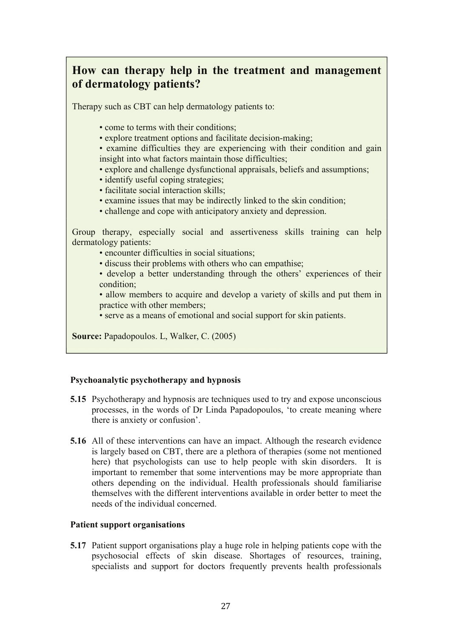# **How can therapy help in the treatment and management of dermatology patients?**

Therapy such as CBT can help dermatology patients to:

- come to terms with their conditions:
- explore treatment options and facilitate decision-making:
- examine difficulties they are experiencing with their condition and gain insight into what factors maintain those difficulties;
- explore and challenge dysfunctional appraisals, beliefs and assumptions;
- identify useful coping strategies:
- facilitate social interaction skills;
- examine issues that may be indirectly linked to the skin condition;
- challenge and cope with anticipatory anxiety and depression.

Group therapy, especially social and assertiveness skills training can help dermatology patients:

- encounter difficulties in social situations;
- discuss their problems with others who can empathise:
- develop a better understanding through the others' experiences of their condition;

• allow members to acquire and develop a variety of skills and put them in practice with other members;

• serve as a means of emotional and social support for skin patients.

**Source:** Papadopoulos. L, Walker, C. (2005)

#### **Psychoanalytic psychotherapy and hypnosis**

- **5.15** Psychotherapy and hypnosis are techniques used to try and expose unconscious processes, in the words of Dr Linda Papadopoulos, 'to create meaning where there is anxiety or confusion'.
- **5.16** All of these interventions can have an impact. Although the research evidence is largely based on CBT, there are a plethora of therapies (some not mentioned here) that psychologists can use to help people with skin disorders. It is important to remember that some interventions may be more appropriate than others depending on the individual. Health professionals should familiarise themselves with the different interventions available in order better to meet the needs of the individual concerned.

#### **Patient support organisations**

**5.17** Patient support organisations play a huge role in helping patients cope with the psychosocial effects of skin disease. Shortages of resources, training, specialists and support for doctors frequently prevents health professionals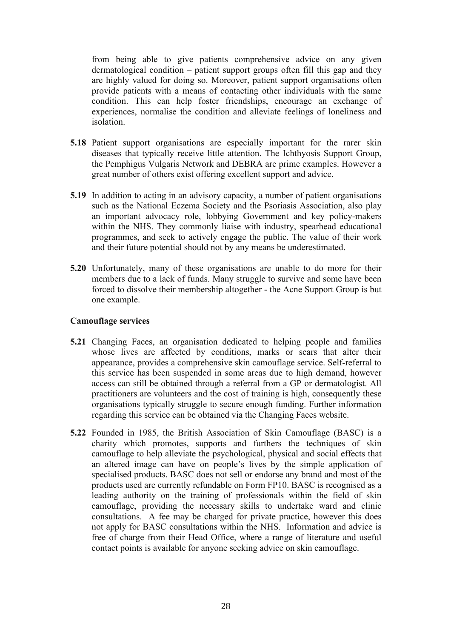from being able to give patients comprehensive advice on any given dermatological condition – patient support groups often fill this gap and they are highly valued for doing so. Moreover, patient support organisations often provide patients with a means of contacting other individuals with the same condition. This can help foster friendships, encourage an exchange of experiences, normalise the condition and alleviate feelings of loneliness and isolation.

- **5.18** Patient support organisations are especially important for the rarer skin diseases that typically receive little attention. The Ichthyosis Support Group, the Pemphigus Vulgaris Network and DEBRA are prime examples. However a great number of others exist offering excellent support and advice.
- **5.19** In addition to acting in an advisory capacity, a number of patient organisations such as the National Eczema Society and the Psoriasis Association, also play an important advocacy role, lobbying Government and key policy-makers within the NHS. They commonly liaise with industry, spearhead educational programmes, and seek to actively engage the public. The value of their work and their future potential should not by any means be underestimated.
- **5.20** Unfortunately, many of these organisations are unable to do more for their members due to a lack of funds. Many struggle to survive and some have been forced to dissolve their membership altogether - the Acne Support Group is but one example.

#### **Camouflage services**

- **5.21** Changing Faces, an organisation dedicated to helping people and families whose lives are affected by conditions, marks or scars that alter their appearance, provides a comprehensive skin camouflage service. Self-referral to this service has been suspended in some areas due to high demand, however access can still be obtained through a referral from a GP or dermatologist. All practitioners are volunteers and the cost of training is high, consequently these organisations typically struggle to secure enough funding. Further information regarding this service can be obtained via the Changing Faces website.
- **5.22** Founded in 1985, the British Association of Skin Camouflage (BASC) is a charity which promotes, supports and furthers the techniques of skin camouflage to help alleviate the psychological, physical and social effects that an altered image can have on people's lives by the simple application of specialised products. BASC does not sell or endorse any brand and most of the products used are currently refundable on Form FP10. BASC is recognised as a leading authority on the training of professionals within the field of skin camouflage, providing the necessary skills to undertake ward and clinic consultations. A fee may be charged for private practice, however this does not apply for BASC consultations within the NHS. Information and advice is free of charge from their Head Office, where a range of literature and useful contact points is available for anyone seeking advice on skin camouflage.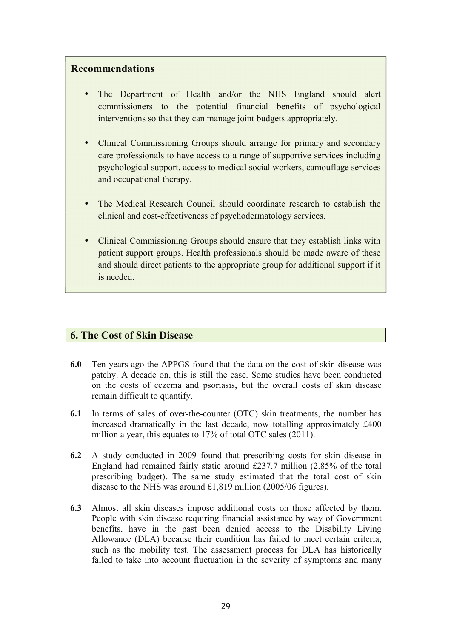#### **Recommendations**

- The Department of Health and/or the NHS England should alert commissioners to the potential financial benefits of psychological interventions so that they can manage joint budgets appropriately.
- Clinical Commissioning Groups should arrange for primary and secondary care professionals to have access to a range of supportive services including psychological support, access to medical social workers, camouflage services and occupational therapy.
- The Medical Research Council should coordinate research to establish the clinical and cost-effectiveness of psychodermatology services.
- Clinical Commissioning Groups should ensure that they establish links with patient support groups. Health professionals should be made aware of these and should direct patients to the appropriate group for additional support if it is needed.

#### **6. The Cost of Skin Disease**

- **6.0** Ten years ago the APPGS found that the data on the cost of skin disease was patchy. A decade on, this is still the case. Some studies have been conducted on the costs of eczema and psoriasis, but the overall costs of skin disease remain difficult to quantify.
- **6.1** In terms of sales of over-the-counter (OTC) skin treatments, the number has increased dramatically in the last decade, now totalling approximately £400 million a year, this equates to 17% of total OTC sales (2011).
- **6.2** A study conducted in 2009 found that prescribing costs for skin disease in England had remained fairly static around £237.7 million (2.85% of the total prescribing budget). The same study estimated that the total cost of skin disease to the NHS was around £1,819 million (2005/06 figures).
- **6.3** Almost all skin diseases impose additional costs on those affected by them. People with skin disease requiring financial assistance by way of Government benefits, have in the past been denied access to the Disability Living Allowance (DLA) because their condition has failed to meet certain criteria, such as the mobility test. The assessment process for DLA has historically failed to take into account fluctuation in the severity of symptoms and many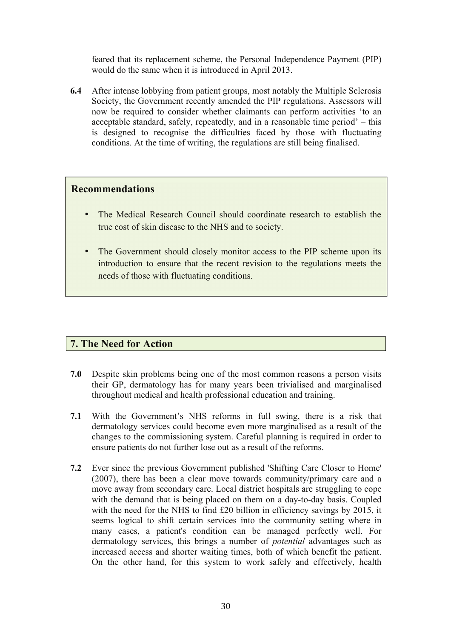feared that its replacement scheme, the Personal Independence Payment (PIP) would do the same when it is introduced in April 2013.

**6.4** After intense lobbying from patient groups, most notably the Multiple Sclerosis Society, the Government recently amended the PIP regulations. Assessors will now be required to consider whether claimants can perform activities 'to an acceptable standard, safely, repeatedly, and in a reasonable time period' – this is designed to recognise the difficulties faced by those with fluctuating conditions. At the time of writing, the regulations are still being finalised.

#### **Recommendations**

- The Medical Research Council should coordinate research to establish the true cost of skin disease to the NHS and to society.
- The Government should closely monitor access to the PIP scheme upon its introduction to ensure that the recent revision to the regulations meets the needs of those with fluctuating conditions.

#### **7. The Need for Action**

- **7.0** Despite skin problems being one of the most common reasons a person visits their GP, dermatology has for many years been trivialised and marginalised throughout medical and health professional education and training.
- **7.1** With the Government's NHS reforms in full swing, there is a risk that dermatology services could become even more marginalised as a result of the changes to the commissioning system. Careful planning is required in order to ensure patients do not further lose out as a result of the reforms.
- **7.2** Ever since the previous Government published 'Shifting Care Closer to Home' (2007), there has been a clear move towards community/primary care and a move away from secondary care. Local district hospitals are struggling to cope with the demand that is being placed on them on a day-to-day basis. Coupled with the need for the NHS to find £20 billion in efficiency savings by 2015, it seems logical to shift certain services into the community setting where in many cases, a patient's condition can be managed perfectly well. For dermatology services, this brings a number of *potential* advantages such as increased access and shorter waiting times, both of which benefit the patient. On the other hand, for this system to work safely and effectively, health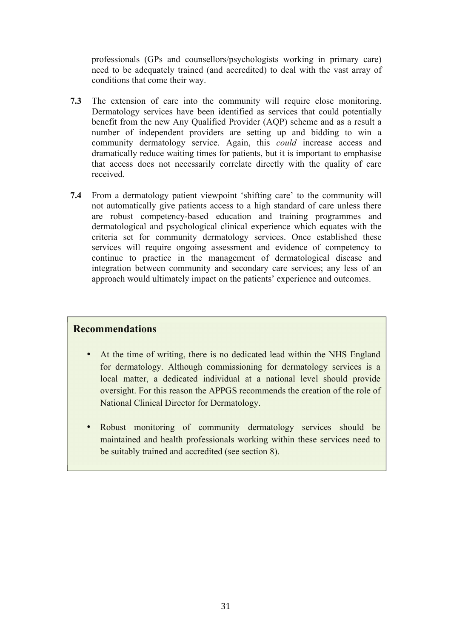professionals (GPs and counsellors/psychologists working in primary care) need to be adequately trained (and accredited) to deal with the vast array of conditions that come their way.

- **7.3** The extension of care into the community will require close monitoring. Dermatology services have been identified as services that could potentially benefit from the new Any Qualified Provider (AQP) scheme and as a result a number of independent providers are setting up and bidding to win a community dermatology service. Again, this *could* increase access and dramatically reduce waiting times for patients, but it is important to emphasise that access does not necessarily correlate directly with the quality of care received.
- **7.4** From a dermatology patient viewpoint 'shifting care' to the community will not automatically give patients access to a high standard of care unless there are robust competency-based education and training programmes and dermatological and psychological clinical experience which equates with the criteria set for community dermatology services. Once established these services will require ongoing assessment and evidence of competency to continue to practice in the management of dermatological disease and integration between community and secondary care services; any less of an approach would ultimately impact on the patients' experience and outcomes.

#### **Recommendations**

- At the time of writing, there is no dedicated lead within the NHS England for dermatology. Although commissioning for dermatology services is a local matter, a dedicated individual at a national level should provide oversight. For this reason the APPGS recommends the creation of the role of National Clinical Director for Dermatology.
- Robust monitoring of community dermatology services should be maintained and health professionals working within these services need to be suitably trained and accredited (see section 8).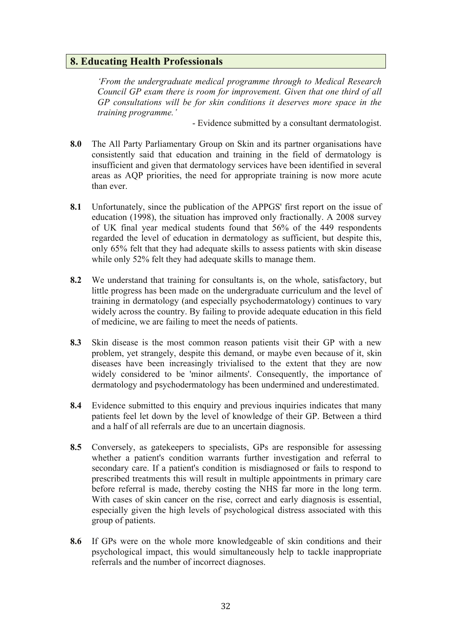#### **8. Educating Health Professionals**

*'From the undergraduate medical programme through to Medical Research Council GP exam there is room for improvement. Given that one third of all GP consultations will be for skin conditions it deserves more space in the training programme.'*

- Evidence submitted by a consultant dermatologist.

- **8.0** The All Party Parliamentary Group on Skin and its partner organisations have consistently said that education and training in the field of dermatology is insufficient and given that dermatology services have been identified in several areas as AQP priorities, the need for appropriate training is now more acute than ever.
- **8.1** Unfortunately, since the publication of the APPGS' first report on the issue of education (1998), the situation has improved only fractionally. A 2008 survey of UK final year medical students found that 56% of the 449 respondents regarded the level of education in dermatology as sufficient, but despite this, only 65% felt that they had adequate skills to assess patients with skin disease while only 52% felt they had adequate skills to manage them.
- **8.2** We understand that training for consultants is, on the whole, satisfactory, but little progress has been made on the undergraduate curriculum and the level of training in dermatology (and especially psychodermatology) continues to vary widely across the country. By failing to provide adequate education in this field of medicine, we are failing to meet the needs of patients.
- **8.3** Skin disease is the most common reason patients visit their GP with a new problem, yet strangely, despite this demand, or maybe even because of it, skin diseases have been increasingly trivialised to the extent that they are now widely considered to be 'minor ailments'. Consequently, the importance of dermatology and psychodermatology has been undermined and underestimated.
- **8.4** Evidence submitted to this enquiry and previous inquiries indicates that many patients feel let down by the level of knowledge of their GP. Between a third and a half of all referrals are due to an uncertain diagnosis.
- **8.5** Conversely, as gatekeepers to specialists, GPs are responsible for assessing whether a patient's condition warrants further investigation and referral to secondary care. If a patient's condition is misdiagnosed or fails to respond to prescribed treatments this will result in multiple appointments in primary care before referral is made, thereby costing the NHS far more in the long term. With cases of skin cancer on the rise, correct and early diagnosis is essential, especially given the high levels of psychological distress associated with this group of patients.
- **8.6** If GPs were on the whole more knowledgeable of skin conditions and their psychological impact, this would simultaneously help to tackle inappropriate referrals and the number of incorrect diagnoses.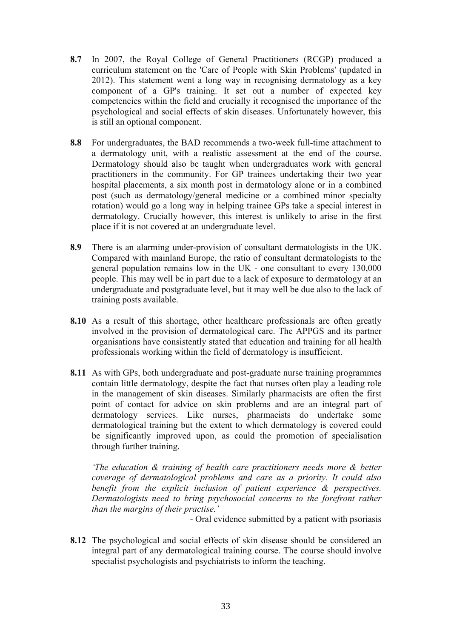- **8.7** In 2007, the Royal College of General Practitioners (RCGP) produced a curriculum statement on the 'Care of People with Skin Problems' (updated in 2012). This statement went a long way in recognising dermatology as a key component of a GP's training. It set out a number of expected key competencies within the field and crucially it recognised the importance of the psychological and social effects of skin diseases. Unfortunately however, this is still an optional component.
- **8.8** For undergraduates, the BAD recommends a two-week full-time attachment to a dermatology unit, with a realistic assessment at the end of the course. Dermatology should also be taught when undergraduates work with general practitioners in the community. For GP trainees undertaking their two year hospital placements, a six month post in dermatology alone or in a combined post (such as dermatology/general medicine or a combined minor specialty rotation) would go a long way in helping trainee GPs take a special interest in dermatology. Crucially however, this interest is unlikely to arise in the first place if it is not covered at an undergraduate level.
- **8.9** There is an alarming under-provision of consultant dermatologists in the UK. Compared with mainland Europe, the ratio of consultant dermatologists to the general population remains low in the UK - one consultant to every 130,000 people. This may well be in part due to a lack of exposure to dermatology at an undergraduate and postgraduate level, but it may well be due also to the lack of training posts available.
- **8.10** As a result of this shortage, other healthcare professionals are often greatly involved in the provision of dermatological care. The APPGS and its partner organisations have consistently stated that education and training for all health professionals working within the field of dermatology is insufficient.
- **8.11** As with GPs, both undergraduate and post-graduate nurse training programmes contain little dermatology, despite the fact that nurses often play a leading role in the management of skin diseases. Similarly pharmacists are often the first point of contact for advice on skin problems and are an integral part of dermatology services. Like nurses, pharmacists do undertake some dermatological training but the extent to which dermatology is covered could be significantly improved upon, as could the promotion of specialisation through further training.

*'The education & training of health care practitioners needs more & better coverage of dermatological problems and care as a priority. It could also benefit from the explicit inclusion of patient experience & perspectives. Dermatologists need to bring psychosocial concerns to the forefront rather than the margins of their practise.'*

- Oral evidence submitted by a patient with psoriasis

**8.12** The psychological and social effects of skin disease should be considered an integral part of any dermatological training course. The course should involve specialist psychologists and psychiatrists to inform the teaching.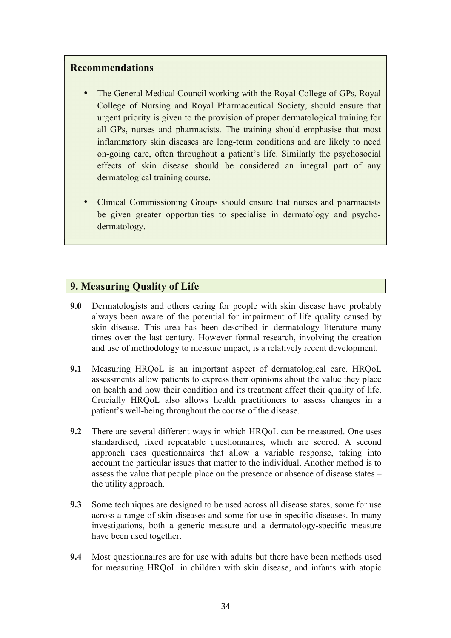#### **Recommendations**

- The General Medical Council working with the Royal College of GPs, Royal College of Nursing and Royal Pharmaceutical Society, should ensure that urgent priority is given to the provision of proper dermatological training for all GPs, nurses and pharmacists. The training should emphasise that most inflammatory skin diseases are long-term conditions and are likely to need on-going care, often throughout a patient's life. Similarly the psychosocial effects of skin disease should be considered an integral part of any dermatological training course.
- Clinical Commissioning Groups should ensure that nurses and pharmacists be given greater opportunities to specialise in dermatology and psychodermatology.

#### **9. Measuring Quality of Life**

- **9.0** Dermatologists and others caring for people with skin disease have probably always been aware of the potential for impairment of life quality caused by skin disease. This area has been described in dermatology literature many times over the last century. However formal research, involving the creation and use of methodology to measure impact, is a relatively recent development.
- **9.1** Measuring HRQoL is an important aspect of dermatological care. HRQoL assessments allow patients to express their opinions about the value they place on health and how their condition and its treatment affect their quality of life. Crucially HRQoL also allows health practitioners to assess changes in a patient's well-being throughout the course of the disease.
- **9.2** There are several different ways in which HRQoL can be measured. One uses standardised, fixed repeatable questionnaires, which are scored. A second approach uses questionnaires that allow a variable response, taking into account the particular issues that matter to the individual. Another method is to assess the value that people place on the presence or absence of disease states – the utility approach.
- **9.3** Some techniques are designed to be used across all disease states, some for use across a range of skin diseases and some for use in specific diseases. In many investigations, both a generic measure and a dermatology-specific measure have been used together.
- **9.4** Most questionnaires are for use with adults but there have been methods used for measuring HRQoL in children with skin disease, and infants with atopic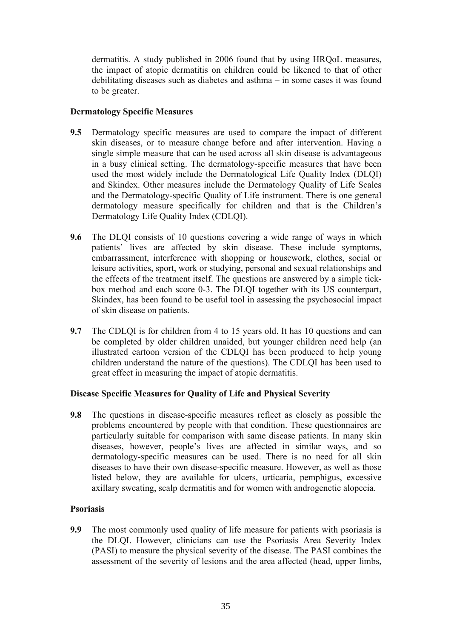dermatitis. A study published in 2006 found that by using HRQoL measures, the impact of atopic dermatitis on children could be likened to that of other debilitating diseases such as diabetes and asthma – in some cases it was found to be greater.

#### **Dermatology Specific Measures**

- **9.5** Dermatology specific measures are used to compare the impact of different skin diseases, or to measure change before and after intervention. Having a single simple measure that can be used across all skin disease is advantageous in a busy clinical setting. The dermatology-specific measures that have been used the most widely include the Dermatological Life Quality Index (DLQI) and Skindex. Other measures include the Dermatology Quality of Life Scales and the Dermatology-specific Quality of Life instrument. There is one general dermatology measure specifically for children and that is the Children's Dermatology Life Quality Index (CDLQI).
- **9.6** The DLQI consists of 10 questions covering a wide range of ways in which patients' lives are affected by skin disease. These include symptoms, embarrassment, interference with shopping or housework, clothes, social or leisure activities, sport, work or studying, personal and sexual relationships and the effects of the treatment itself. The questions are answered by a simple tickbox method and each score 0-3. The DLQI together with its US counterpart, Skindex, has been found to be useful tool in assessing the psychosocial impact of skin disease on patients.
- **9.7** The CDLQI is for children from 4 to 15 years old. It has 10 questions and can be completed by older children unaided, but younger children need help (an illustrated cartoon version of the CDLQI has been produced to help young children understand the nature of the questions). The CDLQI has been used to great effect in measuring the impact of atopic dermatitis.

#### **Disease Specific Measures for Quality of Life and Physical Severity**

**9.8** The questions in disease-specific measures reflect as closely as possible the problems encountered by people with that condition. These questionnaires are particularly suitable for comparison with same disease patients. In many skin diseases, however, people's lives are affected in similar ways, and so dermatology-specific measures can be used. There is no need for all skin diseases to have their own disease-specific measure. However, as well as those listed below, they are available for ulcers, urticaria, pemphigus, excessive axillary sweating, scalp dermatitis and for women with androgenetic alopecia.

#### **Psoriasis**

**9.9** The most commonly used quality of life measure for patients with psoriasis is the DLQI. However, clinicians can use the Psoriasis Area Severity Index (PASI) to measure the physical severity of the disease. The PASI combines the assessment of the severity of lesions and the area affected (head, upper limbs,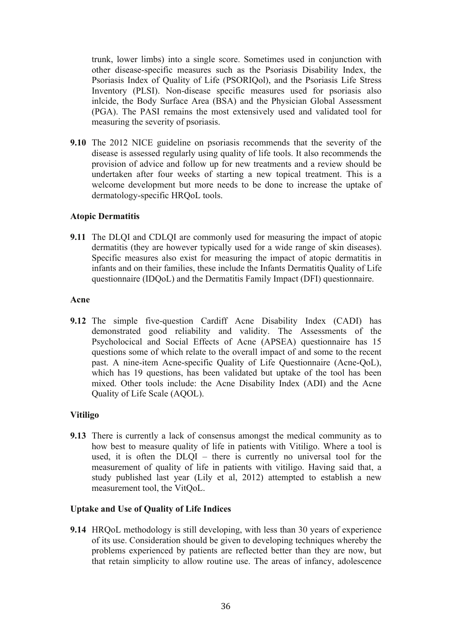trunk, lower limbs) into a single score. Sometimes used in conjunction with other disease-specific measures such as the Psoriasis Disability Index, the Psoriasis Index of Quality of Life (PSORIQol), and the Psoriasis Life Stress Inventory (PLSI). Non-disease specific measures used for psoriasis also inlcide, the Body Surface Area (BSA) and the Physician Global Assessment (PGA). The PASI remains the most extensively used and validated tool for measuring the severity of psoriasis.

**9.10** The 2012 NICE guideline on psoriasis recommends that the severity of the disease is assessed regularly using quality of life tools. It also recommends the provision of advice and follow up for new treatments and a review should be undertaken after four weeks of starting a new topical treatment. This is a welcome development but more needs to be done to increase the uptake of dermatology-specific HRQoL tools.

#### **Atopic Dermatitis**

**9.11** The DLQI and CDLQI are commonly used for measuring the impact of atopic dermatitis (they are however typically used for a wide range of skin diseases). Specific measures also exist for measuring the impact of atopic dermatitis in infants and on their families, these include the Infants Dermatitis Quality of Life questionnaire (IDQoL) and the Dermatitis Family Impact (DFI) questionnaire.

#### **Acne**

**9.12** The simple five-question Cardiff Acne Disability Index (CADI) has demonstrated good reliability and validity. The Assessments of the Psycholocical and Social Effects of Acne (APSEA) questionnaire has 15 questions some of which relate to the overall impact of and some to the recent past. A nine-item Acne-specific Quality of Life Questionnaire (Acne-QoL), which has 19 questions, has been validated but uptake of the tool has been mixed. Other tools include: the Acne Disability Index (ADI) and the Acne Quality of Life Scale (AQOL).

#### **Vitiligo**

**9.13** There is currently a lack of consensus amongst the medical community as to how best to measure quality of life in patients with Vitiligo. Where a tool is used, it is often the DLQI – there is currently no universal tool for the measurement of quality of life in patients with vitiligo. Having said that, a study published last year (Lily et al, 2012) attempted to establish a new measurement tool, the VitQoL.

#### **Uptake and Use of Quality of Life Indices**

**9.14** HRQoL methodology is still developing, with less than 30 years of experience of its use. Consideration should be given to developing techniques whereby the problems experienced by patients are reflected better than they are now, but that retain simplicity to allow routine use. The areas of infancy, adolescence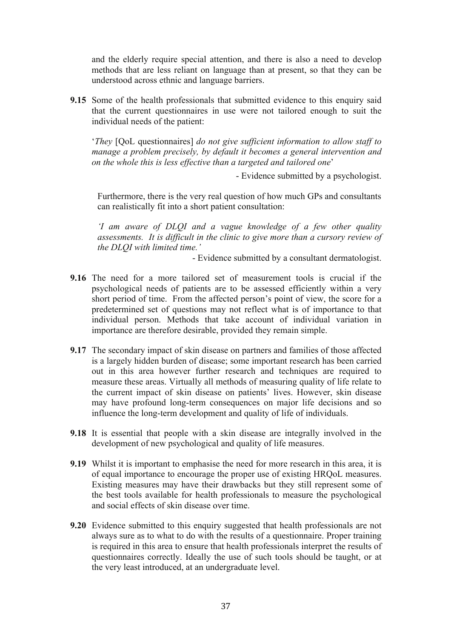and the elderly require special attention, and there is also a need to develop methods that are less reliant on language than at present, so that they can be understood across ethnic and language barriers.

**9.15** Some of the health professionals that submitted evidence to this enquiry said that the current questionnaires in use were not tailored enough to suit the individual needs of the patient:

'*They* [QoL questionnaires] *do not give sufficient information to allow staff to manage a problem precisely, by default it becomes a general intervention and on the whole this is less effective than a targeted and tailored one*'

- Evidence submitted by a psychologist.

Furthermore, there is the very real question of how much GPs and consultants can realistically fit into a short patient consultation:

*'I am aware of DLQI and a vague knowledge of a few other quality assessments. It is difficult in the clinic to give more than a cursory review of the DLQI with limited time.'*

- Evidence submitted by a consultant dermatologist.

- **9.16** The need for a more tailored set of measurement tools is crucial if the psychological needs of patients are to be assessed efficiently within a very short period of time. From the affected person's point of view, the score for a predetermined set of questions may not reflect what is of importance to that individual person. Methods that take account of individual variation in importance are therefore desirable, provided they remain simple.
- **9.17** The secondary impact of skin disease on partners and families of those affected is a largely hidden burden of disease; some important research has been carried out in this area however further research and techniques are required to measure these areas. Virtually all methods of measuring quality of life relate to the current impact of skin disease on patients' lives. However, skin disease may have profound long-term consequences on major life decisions and so influence the long-term development and quality of life of individuals.
- **9.18** It is essential that people with a skin disease are integrally involved in the development of new psychological and quality of life measures.
- **9.19** Whilst it is important to emphasise the need for more research in this area, it is of equal importance to encourage the proper use of existing HRQoL measures. Existing measures may have their drawbacks but they still represent some of the best tools available for health professionals to measure the psychological and social effects of skin disease over time.
- **9.20** Evidence submitted to this enquiry suggested that health professionals are not always sure as to what to do with the results of a questionnaire. Proper training is required in this area to ensure that health professionals interpret the results of questionnaires correctly. Ideally the use of such tools should be taught, or at the very least introduced, at an undergraduate level.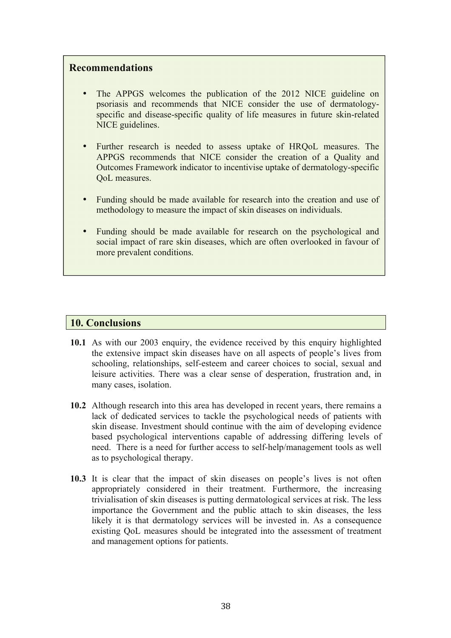#### **Recommendations**

- The APPGS welcomes the publication of the 2012 NICE guideline on psoriasis and recommends that NICE consider the use of dermatologyspecific and disease-specific quality of life measures in future skin-related NICE guidelines.
- Further research is needed to assess uptake of HRQoL measures. The APPGS recommends that NICE consider the creation of a Quality and Outcomes Framework indicator to incentivise uptake of dermatology-specific OoL measures.
- Funding should be made available for research into the creation and use of methodology to measure the impact of skin diseases on individuals.
- Funding should be made available for research on the psychological and social impact of rare skin diseases, which are often overlooked in favour of more prevalent conditions.

#### **10. Conclusions**

- **10.1** As with our 2003 enquiry, the evidence received by this enquiry highlighted the extensive impact skin diseases have on all aspects of people's lives from schooling, relationships, self-esteem and career choices to social, sexual and leisure activities. There was a clear sense of desperation, frustration and, in many cases, isolation.
- **10.2** Although research into this area has developed in recent years, there remains a lack of dedicated services to tackle the psychological needs of patients with skin disease. Investment should continue with the aim of developing evidence based psychological interventions capable of addressing differing levels of need. There is a need for further access to self-help/management tools as well as to psychological therapy.
- **10.3** It is clear that the impact of skin diseases on people's lives is not often appropriately considered in their treatment. Furthermore, the increasing trivialisation of skin diseases is putting dermatological services at risk. The less importance the Government and the public attach to skin diseases, the less likely it is that dermatology services will be invested in. As a consequence existing QoL measures should be integrated into the assessment of treatment and management options for patients.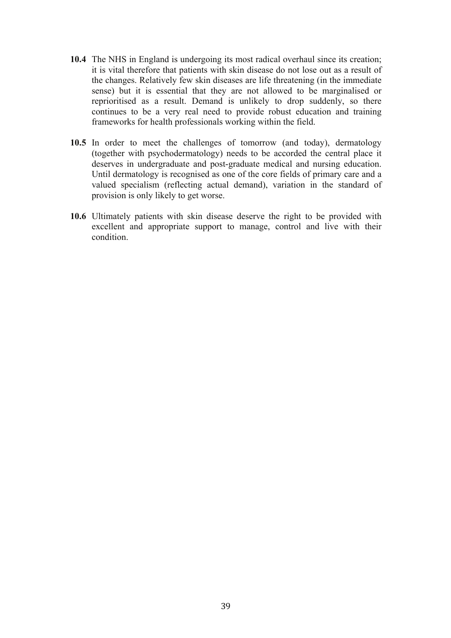- **10.4** The NHS in England is undergoing its most radical overhaul since its creation; it is vital therefore that patients with skin disease do not lose out as a result of the changes. Relatively few skin diseases are life threatening (in the immediate sense) but it is essential that they are not allowed to be marginalised or reprioritised as a result. Demand is unlikely to drop suddenly, so there continues to be a very real need to provide robust education and training frameworks for health professionals working within the field.
- **10.5** In order to meet the challenges of tomorrow (and today), dermatology (together with psychodermatology) needs to be accorded the central place it deserves in undergraduate and post-graduate medical and nursing education. Until dermatology is recognised as one of the core fields of primary care and a valued specialism (reflecting actual demand), variation in the standard of provision is only likely to get worse.
- **10.6** Ultimately patients with skin disease deserve the right to be provided with excellent and appropriate support to manage, control and live with their condition.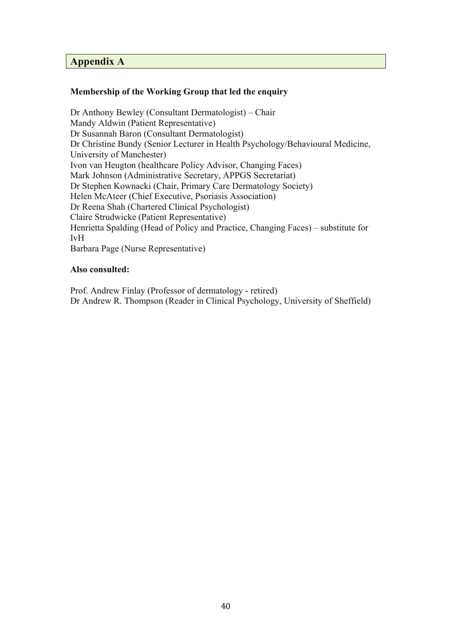#### **Appendix A**

#### **Membership of the Working Group that led the enquiry**

Dr Anthony Bewley (Consultant Dermatologist) – Chair Mandy Aldwin (Patient Representative) Dr Susannah Baron (Consultant Dermatologist) Dr Christine Bundy (Senior Lecturer in Health Psychology/Behavioural Medicine, University of Manchester) Ivon van Heugton (healthcare Policy Advisor, Changing Faces) Mark Johnson (Administrative Secretary, APPGS Secretariat) Dr Stephen Kownacki (Chair, Primary Care Dermatology Society) Helen McAteer (Chief Executive, Psoriasis Association) Dr Reena Shah (Chartered Clinical Psychologist) Claire Strudwicke (Patient Representative) Henrietta Spalding (Head of Policy and Practice, Changing Faces) – substitute for IvH Barbara Page (Nurse Representative)

#### **Also consulted:**

Prof. Andrew Finlay (Professor of dermatology - retired) Dr Andrew R. Thompson (Reader in Clinical Psychology, University of Sheffield)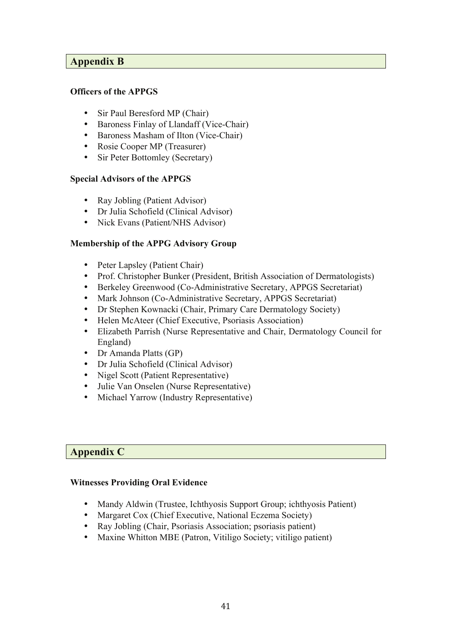#### **Appendix B**

#### **Officers of the APPGS**

- Sir Paul Beresford MP (Chair)
- Baroness Finlay of Llandaff (Vice-Chair)
- Baroness Masham of Ilton (Vice-Chair)
- Rosie Cooper MP (Treasurer)
- Sir Peter Bottomley (Secretary)

#### **Special Advisors of the APPGS**

- Ray Jobling (Patient Advisor)
- Dr Julia Schofield (Clinical Advisor)
- Nick Evans (Patient/NHS Advisor)

#### **Membership of the APPG Advisory Group**

- Peter Lapsley (Patient Chair)
- Prof. Christopher Bunker (President, British Association of Dermatologists)
- Berkeley Greenwood (Co-Administrative Secretary, APPGS Secretariat)
- Mark Johnson (Co-Administrative Secretary, APPGS Secretariat)
- Dr Stephen Kownacki (Chair, Primary Care Dermatology Society)
- Helen McAteer (Chief Executive, Psoriasis Association)
- Elizabeth Parrish (Nurse Representative and Chair, Dermatology Council for England)
- Dr Amanda Platts (GP)
- Dr Julia Schofield (Clinical Advisor)
- Nigel Scott (Patient Representative)
- Julie Van Onselen (Nurse Representative)
- Michael Yarrow (Industry Representative)

#### **Appendix C**

#### **Witnesses Providing Oral Evidence**

- Mandy Aldwin (Trustee, Ichthyosis Support Group; ichthyosis Patient)
- Margaret Cox (Chief Executive, National Eczema Society)
- Ray Jobling (Chair, Psoriasis Association; psoriasis patient)
- Maxine Whitton MBE (Patron, Vitiligo Society; vitiligo patient)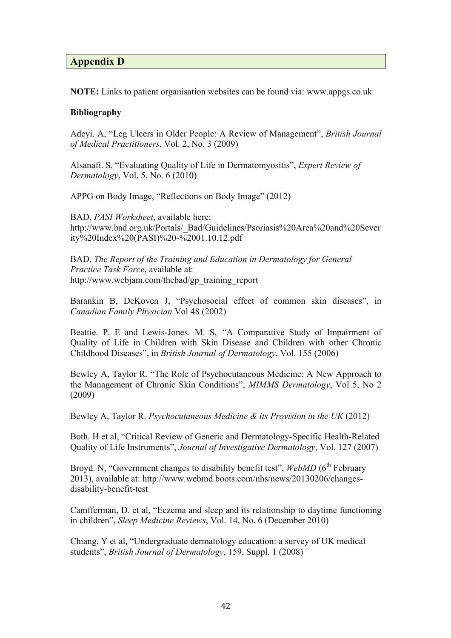#### **Appendix D**

**NOTE:** Links to patient organisation websites can be found via: www.appgs.co.uk

#### **Bibliography**

Adeyi. A, "Leg Ulcers in Older People: A Review of Management", *British Journal of Medical Practitioners*, Vol. 2, No. 3 (2009)

Alsanafi. S, "Evaluating Quality of Life in Dermatomyositis", *Expert Review of Dermatology*, Vol. 5, No. 6 (2010)

APPG on Body Image, "Reflections on Body Image" (2012)

BAD, *PASI Worksheet*, available here: http://www.bad.org.uk/Portals/\_Bad/Guidelines/Psoriasis%20Area%20and%20Sever ity%20Index%20(PASI)%20-%2001.10.12.pdf

BAD, *The Report of the Training and Education in Dermatology for General Practice Task Force*, available at: http://www.webjam.com/thebad/gp\_training\_report

Barankin B, DeKoven J, "Psychosocial effect of common skin diseases", in *Canadian Family Physician* Vol 48 (2002)

Beattie. P. E and Lewis-Jones. M. S, *"*A Comparative Study of Impairment of Quality of Life in Children with Skin Disease and Children with other Chronic Childhood Diseases", in *British Journal of Dermatology*, Vol. 155 (2006)

Bewley A, Taylor R. "The Role of Psychocutaneous Medicine: A New Approach to the Management of Chronic Skin Conditions", *MIMMS Dermatology*, Vol 5, No 2 (2009)

Bewley A, Taylor R. *Psychocutaneous Medicine & its Provision in the UK* (2012)

Both. H et al, "Critical Review of Generic and Dermatology-Specific Health-Related Quality of Life Instruments", *Journal of Investigative Dermatology*, Vol. 127 (2007)

Broyd. N, "Government changes to disability benefit test", *WebMD* (6<sup>th</sup> February 2013), available at: http://www.webmd.boots.com/nhs/news/20130206/changesdisability-benefit-test

Camfferman, D. et al, "Eczema and sleep and its relationship to daytime functioning in children", *Sleep Medicine Reviews*, Vol. 14, No. 6 (December 2010)

Chiang, Y et al, "Undergraduate dermatology education: a survey of UK medical students", *British Journal of Dermatology*, 159, Suppl. 1 (2008)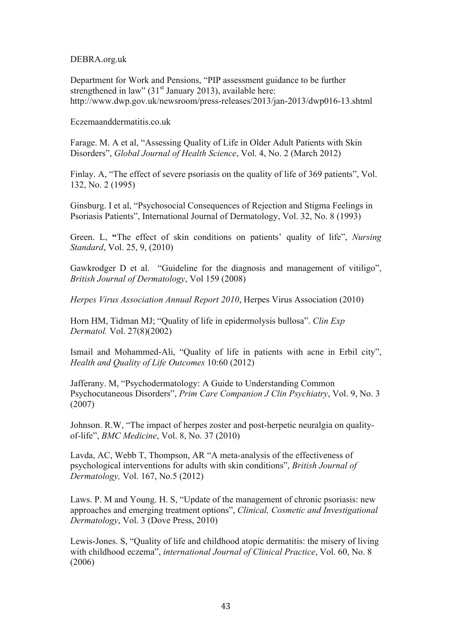#### DEBRA.org.uk

Department for Work and Pensions, "PIP assessment guidance to be further strengthened in law"  $(31<sup>st</sup>$  January 2013), available here: http://www.dwp.gov.uk/newsroom/press-releases/2013/jan-2013/dwp016-13.shtml

Eczemaanddermatitis.co.uk

Farage. M. A et al, "Assessing Quality of Life in Older Adult Patients with Skin Disorders", *Global Journal of Health Science*, Vol. 4, No. 2 (March 2012)

Finlay. A, "The effect of severe psoriasis on the quality of life of 369 patients", Vol. 132, No. 2 (1995)

Ginsburg. I et al, "Psychosocial Consequences of Rejection and Stigma Feelings in Psoriasis Patients", International Journal of Dermatology, Vol. 32, No. 8 (1993)

Green. L, **"**The effect of skin conditions on patients' quality of life", *Nursing Standard*, Vol. 25, 9, (2010)

Gawkrodger D et al. "Guideline for the diagnosis and management of vitiligo", *British Journal of Dermatology*, Vol 159 (2008)

*Herpes Virus Association Annual Report 2010*, Herpes Virus Association (2010)

Horn HM, Tidman MJ; "Quality of life in epidermolysis bullosa". *Clin Exp Dermatol.* Vol. 27(8)(2002)

Ismail and Mohammed-Ali, "Quality of life in patients with acne in Erbil city", *Health and Quality of Life Outcomes* 10:60 (2012)

Jafferany. M, "Psychodermatology: A Guide to Understanding Common Psychocutaneous Disorders", *Prim Care Companion J Clin Psychiatry*, Vol. 9, No. 3 (2007)

Johnson. R.W, "The impact of herpes zoster and post-herpetic neuralgia on qualityof-life", *BMC Medicine*, Vol. 8, No. 37 (2010)

Lavda, AC, Webb T, Thompson, AR "A meta-analysis of the effectiveness of psychological interventions for adults with skin conditions", *British Journal of Dermatology,* Vol. 167, No.5 (2012)

Laws. P. M and Young. H. S, "Update of the management of chronic psoriasis: new approaches and emerging treatment options", *Clinical, Cosmetic and Investigational Dermatology*, Vol. 3 (Dove Press, 2010)

Lewis-Jones. S, "Quality of life and childhood atopic dermatitis: the misery of living with childhood eczema", *international Journal of Clinical Practice*, Vol. 60, No. 8 (2006)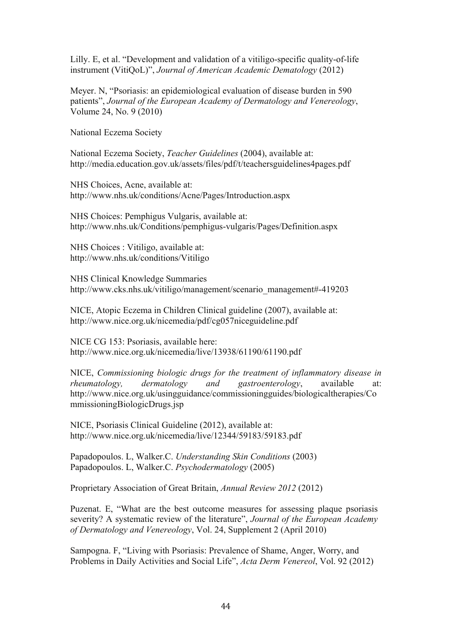Lilly. E, et al. "Development and validation of a vitiligo-specific quality-of-life instrument (VitiQoL)", *Journal of American Academic Dematology* (2012)

Meyer. N, "Psoriasis: an epidemiological evaluation of disease burden in 590 patients", *Journal of the European Academy of Dermatology and Venereology*, Volume 24, No. 9 (2010)

National Eczema Society

National Eczema Society, *Teacher Guidelines* (2004), available at: http://media.education.gov.uk/assets/files/pdf/t/teachersguidelines4pages.pdf

NHS Choices, Acne, available at: http://www.nhs.uk/conditions/Acne/Pages/Introduction.aspx

NHS Choices: Pemphigus Vulgaris, available at: http://www.nhs.uk/Conditions/pemphigus-vulgaris/Pages/Definition.aspx

NHS Choices : Vitiligo, available at: http://www.nhs.uk/conditions/Vitiligo

NHS Clinical Knowledge Summaries http://www.cks.nhs.uk/vitiligo/management/scenario\_management#-419203

NICE, Atopic Eczema in Children Clinical guideline (2007), available at: http://www.nice.org.uk/nicemedia/pdf/cg057niceguideline.pdf

NICE CG 153: Psoriasis, available here: http://www.nice.org.uk/nicemedia/live/13938/61190/61190.pdf

NICE, *Commissioning biologic drugs for the treatment of inflammatory disease in rheumatology, dermatology and gastroenterology*, available at: http://www.nice.org.uk/usingguidance/commissioningguides/biologicaltherapies/Co mmissioningBiologicDrugs.jsp

NICE, Psoriasis Clinical Guideline (2012), available at: http://www.nice.org.uk/nicemedia/live/12344/59183/59183.pdf

Papadopoulos. L, Walker.C. *Understanding Skin Conditions* (2003) Papadopoulos. L, Walker.C. *Psychodermatology* (2005)

Proprietary Association of Great Britain, *Annual Review 2012* (2012)

Puzenat. E, "What are the best outcome measures for assessing plaque psoriasis severity? A systematic review of the literature", *Journal of the European Academy of Dermatology and Venereology*, Vol. 24, Supplement 2 (April 2010)

Sampogna. F, "Living with Psoriasis: Prevalence of Shame, Anger, Worry, and Problems in Daily Activities and Social Life", *Acta Derm Venereol*, Vol. 92 (2012)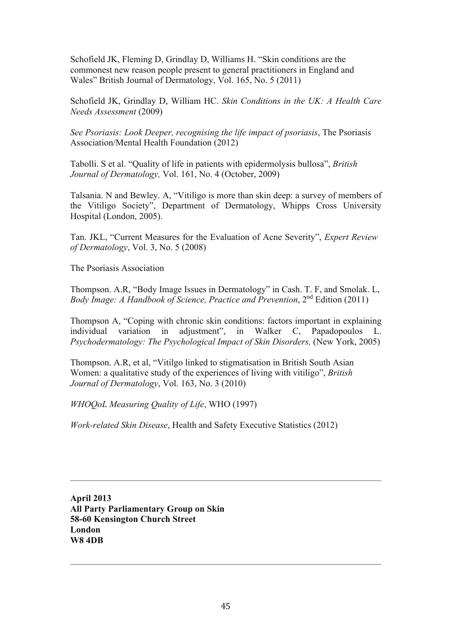Schofield JK, Fleming D, Grindlay D, Williams H. "Skin conditions are the commonest new reason people present to general practitioners in England and Wales" British Journal of Dermatology, Vol. 165, No. 5 (2011)

Schofield JK, Grindlay D, William HC. *Skin Conditions in the UK: A Health Care Needs Assessment* (2009)

*See Psoriasis: Look Deeper, recognising the life impact of psoriasis*, The Psoriasis Association/Mental Health Foundation (2012)

Tabolli. S et al. "Quality of life in patients with epidermolysis bullosa", *British Journal of Dermatology,* Vol. 161, No. 4 (October, 2009)

Talsania. N and Bewley. A, "Vitiligo is more than skin deep: a survey of members of the Vitiligo Society", Department of Dermatology, Whipps Cross University Hospital (London, 2005).

Tan. JKL, "Current Measures for the Evaluation of Acne Severity", *Expert Review of Dermatology*, Vol. 3, No. 5 (2008)

The Psoriasis Association

Thompson. A.R, "Body Image Issues in Dermatology" in Cash. T. F, and Smolak. L, *Body Image: A Handbook of Science, Practice and Prevention,*  $2^{nd}$  Edition (2011)

Thompson A, "Coping with chronic skin conditions: factors important in explaining individual variation in adjustment", in Walker C, Papadopoulos L. *Psychodermatology: The Psychological Impact of Skin Disorders, (New York, 2005)* 

Thompson. A.R, et al, "Vitilgo linked to stigmatisation in British South Asian Women: a qualitative study of the experiences of living with vitiligo", *British Journal of Dermatology*, Vol. 163, No. 3 (2010)

*WHOQoL Measuring Quality of Life*, WHO (1997)

*Work-related Skin Disease*, Health and Safety Executive Statistics (2012)

**April 2013 All Party Parliamentary Group on Skin 58-60 Kensington Church Street London W8 4DB**